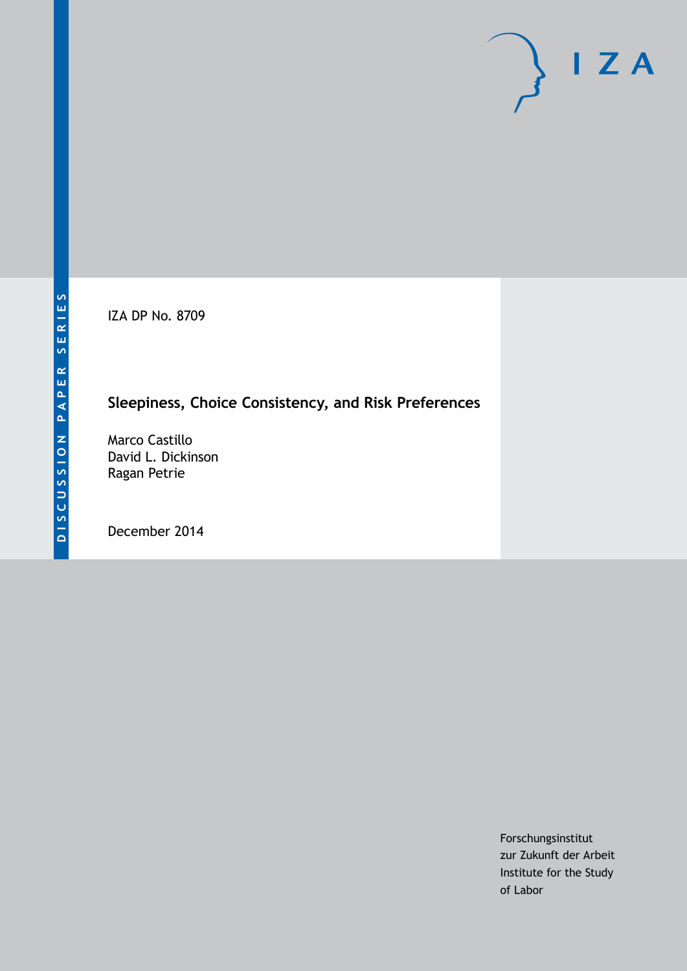IZA DP No. 8709

# **Sleepiness, Choice Consistency, and Risk Preferences**

Marco Castillo David L. Dickinson Ragan Petrie

December 2014

Forschungsinstitut zur Zukunft der Arbeit Institute for the Study of Labor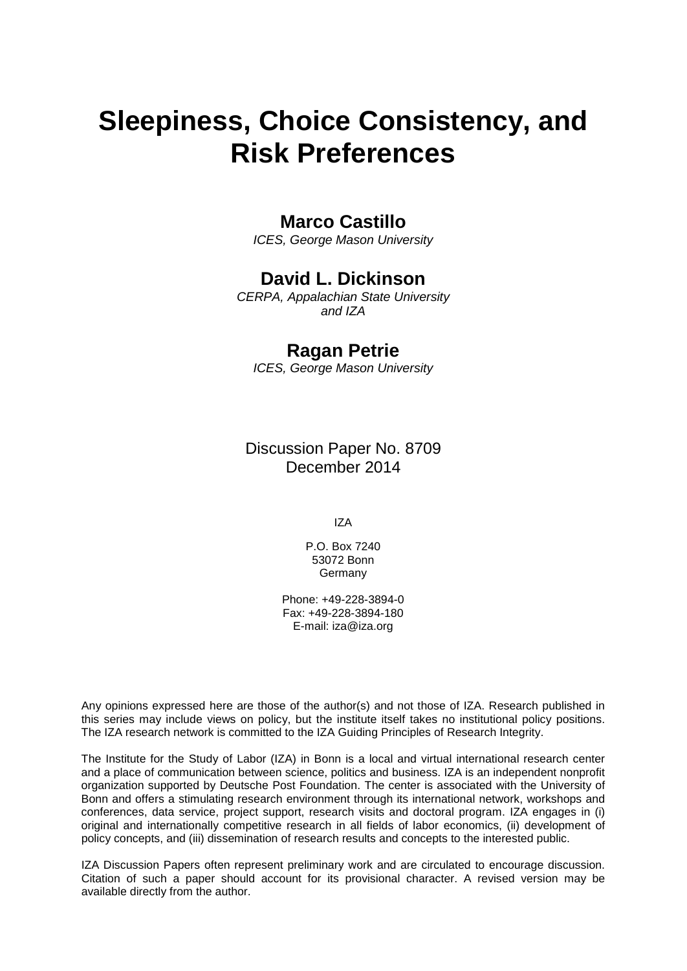# **Sleepiness, Choice Consistency, and Risk Preferences**

# **Marco Castillo**

*ICES, George Mason University*

# **David L. Dickinson**

*CERPA, Appalachian State University and IZA*

# **Ragan Petrie**

*ICES, George Mason University*

Discussion Paper No. 8709 December 2014

IZA

P.O. Box 7240 53072 Bonn **Germany** 

Phone: +49-228-3894-0 Fax: +49-228-3894-180 E-mail: [iza@iza.org](mailto:iza@iza.org)

Any opinions expressed here are those of the author(s) and not those of IZA. Research published in this series may include views on policy, but the institute itself takes no institutional policy positions. The IZA research network is committed to the IZA Guiding Principles of Research Integrity.

The Institute for the Study of Labor (IZA) in Bonn is a local and virtual international research center and a place of communication between science, politics and business. IZA is an independent nonprofit organization supported by Deutsche Post Foundation. The center is associated with the University of Bonn and offers a stimulating research environment through its international network, workshops and conferences, data service, project support, research visits and doctoral program. IZA engages in (i) original and internationally competitive research in all fields of labor economics, (ii) development of policy concepts, and (iii) dissemination of research results and concepts to the interested public.

IZA Discussion Papers often represent preliminary work and are circulated to encourage discussion. Citation of such a paper should account for its provisional character. A revised version may be available directly from the author.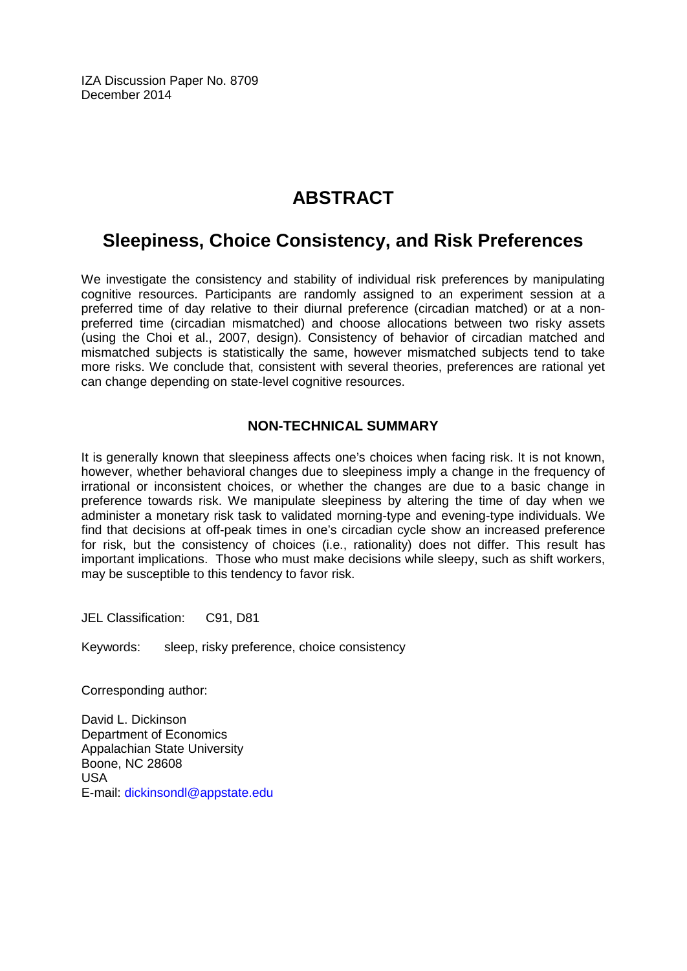IZA Discussion Paper No. 8709 December 2014

# **ABSTRACT**

# **Sleepiness, Choice Consistency, and Risk Preferences**

We investigate the consistency and stability of individual risk preferences by manipulating cognitive resources. Participants are randomly assigned to an experiment session at a preferred time of day relative to their diurnal preference (circadian matched) or at a nonpreferred time (circadian mismatched) and choose allocations between two risky assets (using the Choi et al., 2007, design). Consistency of behavior of circadian matched and mismatched subjects is statistically the same, however mismatched subjects tend to take more risks. We conclude that, consistent with several theories, preferences are rational yet can change depending on state-level cognitive resources.

# **NON-TECHNICAL SUMMARY**

It is generally known that sleepiness affects one's choices when facing risk. It is not known, however, whether behavioral changes due to sleepiness imply a change in the frequency of irrational or inconsistent choices, or whether the changes are due to a basic change in preference towards risk. We manipulate sleepiness by altering the time of day when we administer a monetary risk task to validated morning-type and evening-type individuals. We find that decisions at off-peak times in one's circadian cycle show an increased preference for risk, but the consistency of choices (i.e., rationality) does not differ. This result has important implications. Those who must make decisions while sleepy, such as shift workers, may be susceptible to this tendency to favor risk.

JEL Classification: C91, D81

Keywords: sleep, risky preference, choice consistency

Corresponding author:

David L. Dickinson Department of Economics Appalachian State University Boone, NC 28608 USA E-mail: [dickinsondl@appstate.edu](mailto:dickinsondl@appstate.edu)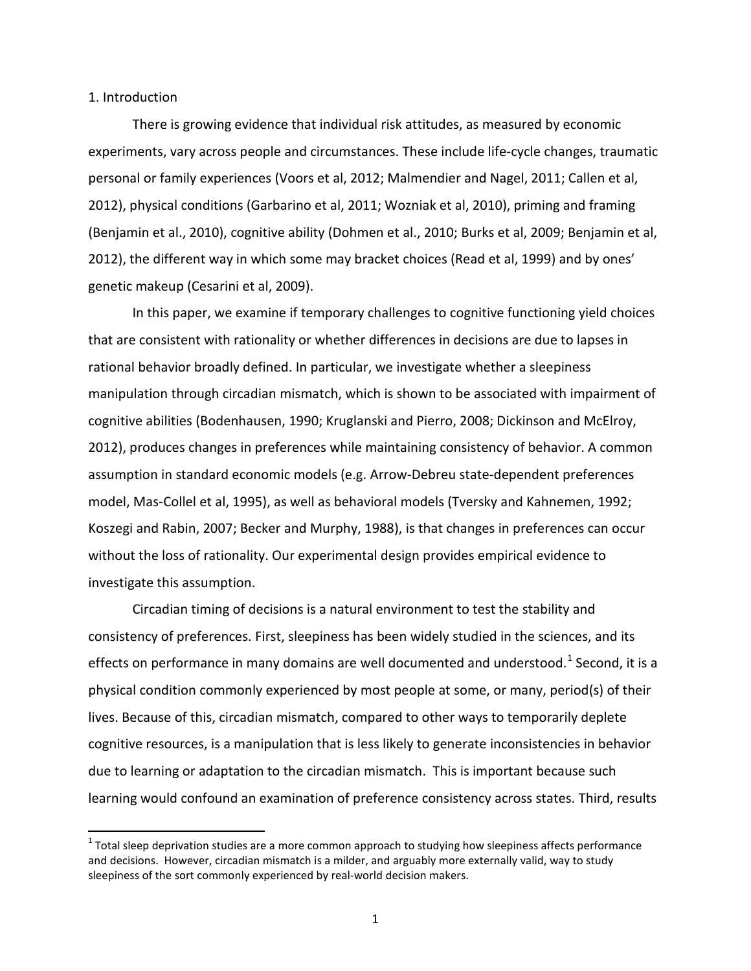#### 1. Introduction

There is growing evidence that individual risk attitudes, as measured by economic experiments, vary across people and circumstances. These include life-cycle changes, traumatic personal or family experiences (Voors et al, 2012; Malmendier and Nagel, 2011; Callen et al, 2012), physical conditions (Garbarino et al, 2011; Wozniak et al, 2010), priming and framing (Benjamin et al., 2010), cognitive ability (Dohmen et al., 2010; Burks et al, 2009; Benjamin et al, 2012), the different way in which some may bracket choices (Read et al, 1999) and by ones' genetic makeup (Cesarini et al, 2009).

In this paper, we examine if temporary challenges to cognitive functioning yield choices that are consistent with rationality or whether differences in decisions are due to lapses in rational behavior broadly defined. In particular, we investigate whether a sleepiness manipulation through circadian mismatch, which is shown to be associated with impairment of cognitive abilities (Bodenhausen, 1990; Kruglanski and Pierro, 2008; Dickinson and McElroy, 2012), produces changes in preferences while maintaining consistency of behavior. A common assumption in standard economic models (e.g. Arrow-Debreu state-dependent preferences model, Mas-Collel et al, 1995), as well as behavioral models (Tversky and Kahnemen, 1992; Koszegi and Rabin, 2007; Becker and Murphy, 1988), is that changes in preferences can occur without the loss of rationality. Our experimental design provides empirical evidence to investigate this assumption.

Circadian timing of decisions is a natural environment to test the stability and consistency of preferences. First, sleepiness has been widely studied in the sciences, and its effects on performance in many domains are well documented and understood.<sup>1</sup> Second, it is a physical condition commonly experienced by most people at some, or many, period(s) of their lives. Because of this, circadian mismatch, compared to other ways to temporarily deplete cognitive resources, is a manipulation that is less likely to generate inconsistencies in behavior due to learning or adaptation to the circadian mismatch. This is important because such learning would confound an examination of preference consistency across states. Third, results

<span id="page-3-0"></span> $1$  Total sleep deprivation studies are a more common approach to studying how sleepiness affects performance and decisions. However, circadian mismatch is a milder, and arguably more externally valid, way to study sleepiness of the sort commonly experienced by real-world decision makers.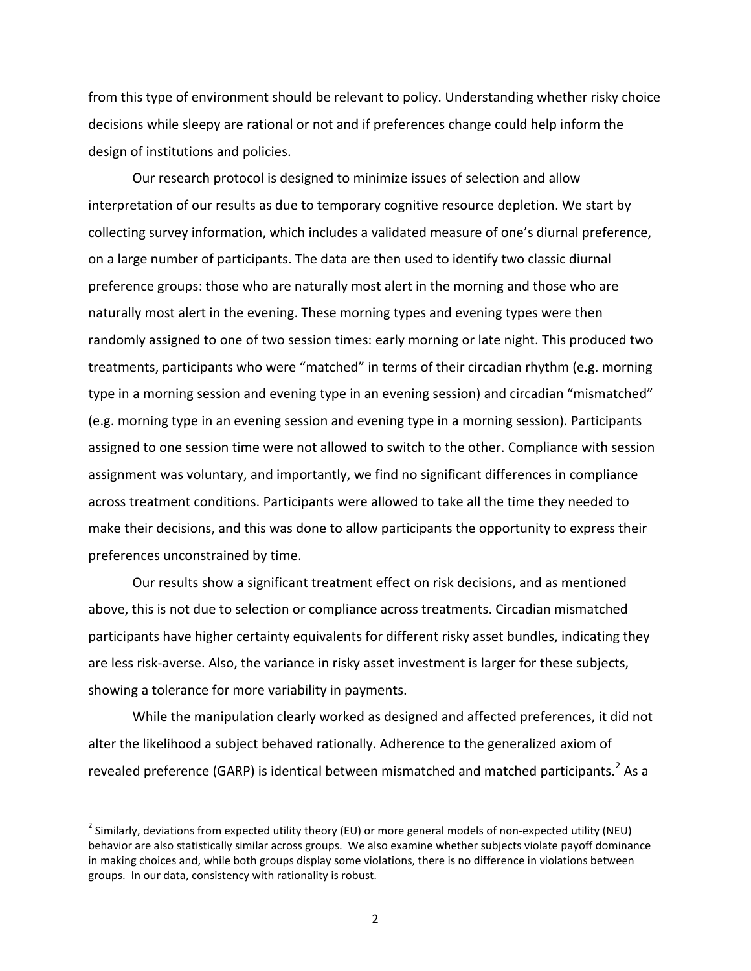from this type of environment should be relevant to policy. Understanding whether risky choice decisions while sleepy are rational or not and if preferences change could help inform the design of institutions and policies.

Our research protocol is designed to minimize issues of selection and allow interpretation of our results as due to temporary cognitive resource depletion. We start by collecting survey information, which includes a validated measure of one's diurnal preference, on a large number of participants. The data are then used to identify two classic diurnal preference groups: those who are naturally most alert in the morning and those who are naturally most alert in the evening. These morning types and evening types were then randomly assigned to one of two session times: early morning or late night. This produced two treatments, participants who were "matched" in terms of their circadian rhythm (e.g. morning type in a morning session and evening type in an evening session) and circadian "mismatched" (e.g. morning type in an evening session and evening type in a morning session). Participants assigned to one session time were not allowed to switch to the other. Compliance with session assignment was voluntary, and importantly, we find no significant differences in compliance across treatment conditions. Participants were allowed to take all the time they needed to make their decisions, and this was done to allow participants the opportunity to express their preferences unconstrained by time.

Our results show a significant treatment effect on risk decisions, and as mentioned above, this is not due to selection or compliance across treatments. Circadian mismatched participants have higher certainty equivalents for different risky asset bundles, indicating they are less risk-averse. Also, the variance in risky asset investment is larger for these subjects, showing a tolerance for more variability in payments.

While the manipulation clearly worked as designed and affected preferences, it did not alter the likelihood a subject behaved rationally. Adherence to the generalized axiom of revealed preference (GARP) is identical between mismatched and matched participants.<sup>[2](#page-3-0)</sup> As a

<span id="page-4-0"></span><sup>&</sup>lt;sup>2</sup> Similarly, deviations from expected utility theory (EU) or more general models of non-expected utility (NEU) behavior are also statistically similar across groups. We also examine whether subjects violate payoff dominance in making choices and, while both groups display some violations, there is no difference in violations between groups. In our data, consistency with rationality is robust.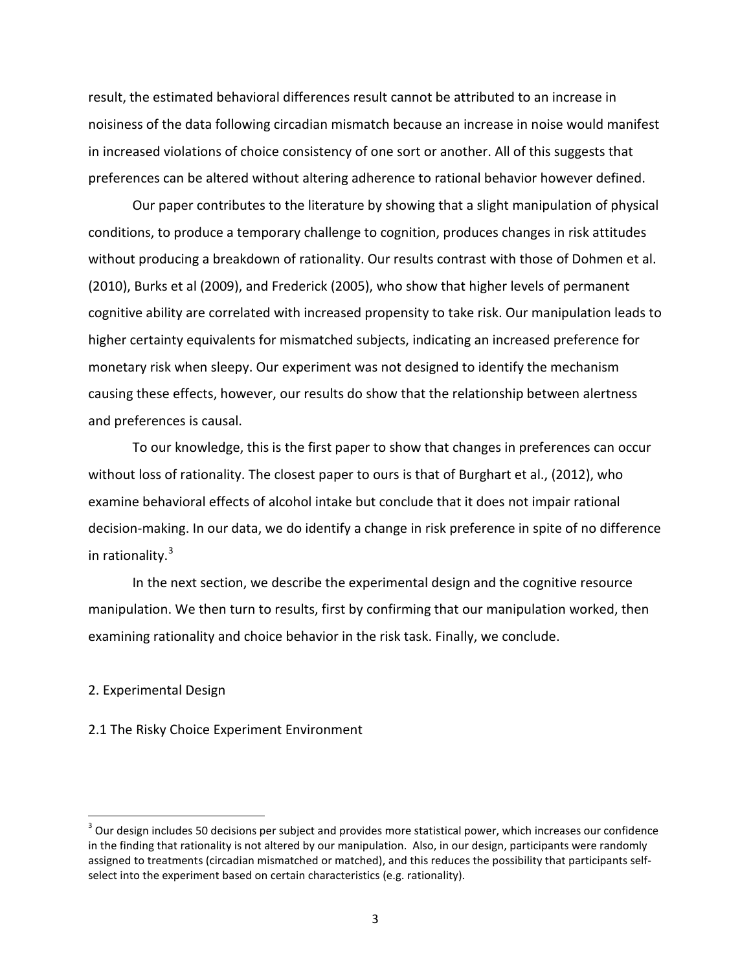result, the estimated behavioral differences result cannot be attributed to an increase in noisiness of the data following circadian mismatch because an increase in noise would manifest in increased violations of choice consistency of one sort or another. All of this suggests that preferences can be altered without altering adherence to rational behavior however defined.

Our paper contributes to the literature by showing that a slight manipulation of physical conditions, to produce a temporary challenge to cognition, produces changes in risk attitudes without producing a breakdown of rationality. Our results contrast with those of Dohmen et al. (2010), Burks et al (2009), and Frederick (2005), who show that higher levels of permanent cognitive ability are correlated with increased propensity to take risk. Our manipulation leads to higher certainty equivalents for mismatched subjects, indicating an increased preference for monetary risk when sleepy. Our experiment was not designed to identify the mechanism causing these effects, however, our results do show that the relationship between alertness and preferences is causal.

To our knowledge, this is the first paper to show that changes in preferences can occur without loss of rationality. The closest paper to ours is that of Burghart et al., (2012), who examine behavioral effects of alcohol intake but conclude that it does not impair rational decision-making. In our data, we do identify a change in risk preference in spite of no difference in rationality.<sup>[3](#page-4-0)</sup>

In the next section, we describe the experimental design and the cognitive resource manipulation. We then turn to results, first by confirming that our manipulation worked, then examining rationality and choice behavior in the risk task. Finally, we conclude.

#### 2. Experimental Design

### 2.1 The Risky Choice Experiment Environment

<span id="page-5-0"></span> $3$  Our design includes 50 decisions per subject and provides more statistical power, which increases our confidence in the finding that rationality is not altered by our manipulation. Also, in our design, participants were randomly assigned to treatments (circadian mismatched or matched), and this reduces the possibility that participants selfselect into the experiment based on certain characteristics (e.g. rationality).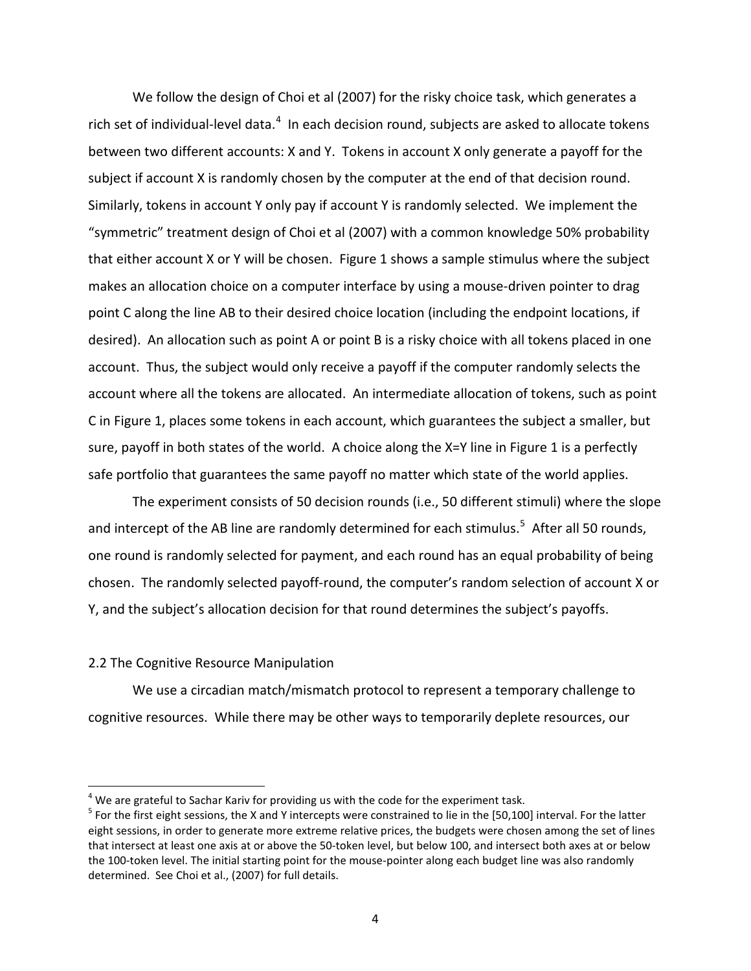We follow the design of Choi et al (2007) for the risky choice task, which generates a rich set of individual-level data. $^4$  $^4$  In each decision round, subjects are asked to allocate tokens between two different accounts: X and Y. Tokens in account X only generate a payoff for the subject if account X is randomly chosen by the computer at the end of that decision round. Similarly, tokens in account Y only pay if account Y is randomly selected. We implement the "symmetric" treatment design of Choi et al (2007) with a common knowledge 50% probability that either account X or Y will be chosen. Figure 1 shows a sample stimulus where the subject makes an allocation choice on a computer interface by using a mouse-driven pointer to drag point C along the line AB to their desired choice location (including the endpoint locations, if desired). An allocation such as point A or point B is a risky choice with all tokens placed in one account. Thus, the subject would only receive a payoff if the computer randomly selects the account where all the tokens are allocated. An intermediate allocation of tokens, such as point C in Figure 1, places some tokens in each account, which guarantees the subject a smaller, but sure, payoff in both states of the world. A choice along the X=Y line in Figure 1 is a perfectly safe portfolio that guarantees the same payoff no matter which state of the world applies.

The experiment consists of 50 decision rounds (i.e., 50 different stimuli) where the slope and intercept of the AB line are randomly determined for each stimulus.<sup>[5](#page-6-0)</sup> After all 50 rounds, one round is randomly selected for payment, and each round has an equal probability of being chosen. The randomly selected payoff-round, the computer's random selection of account X or Y, and the subject's allocation decision for that round determines the subject's payoffs.

#### 2.2 The Cognitive Resource Manipulation

We use a circadian match/mismatch protocol to represent a temporary challenge to cognitive resources. While there may be other ways to temporarily deplete resources, our

 $4$  We are grateful to Sachar Kariv for providing us with the code for the experiment task.

<span id="page-6-0"></span> $5$  For the first eight sessions, the X and Y intercepts were constrained to lie in the [50,100] interval. For the latter eight sessions, in order to generate more extreme relative prices, the budgets were chosen among the set of lines that intersect at least one axis at or above the 50-token level, but below 100, and intersect both axes at or below the 100-token level. The initial starting point for the mouse-pointer along each budget line was also randomly determined. See Choi et al., (2007) for full details.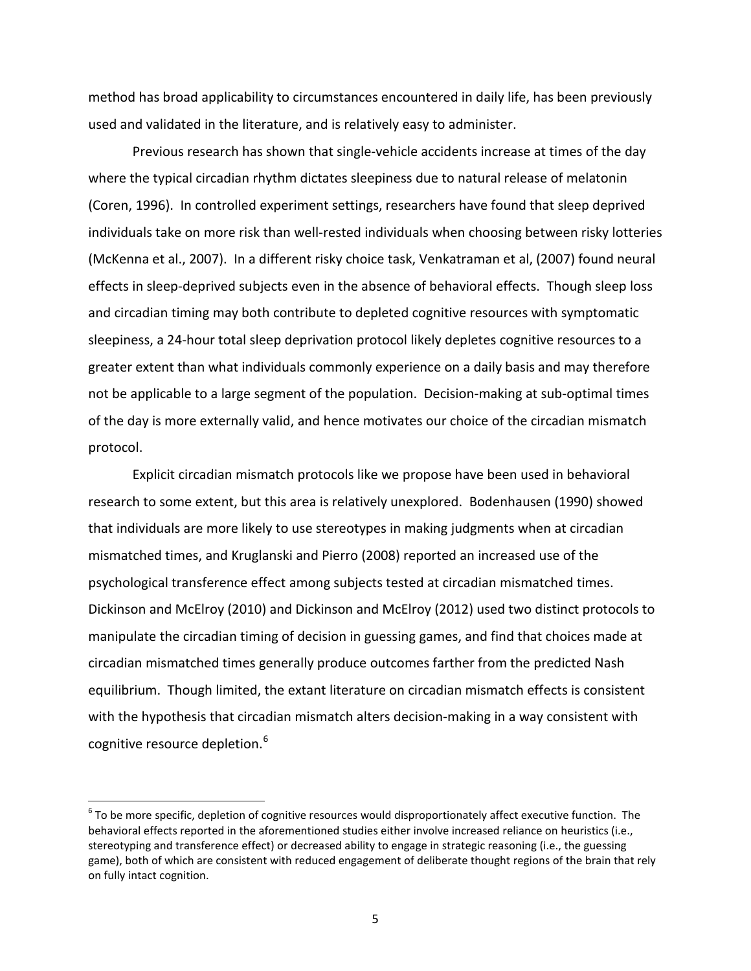method has broad applicability to circumstances encountered in daily life, has been previously used and validated in the literature, and is relatively easy to administer.

Previous research has shown that single-vehicle accidents increase at times of the day where the typical circadian rhythm dictates sleepiness due to natural release of melatonin (Coren, 1996). In controlled experiment settings, researchers have found that sleep deprived individuals take on more risk than well-rested individuals when choosing between risky lotteries (McKenna et al., 2007). In a different risky choice task, Venkatraman et al, (2007) found neural effects in sleep-deprived subjects even in the absence of behavioral effects. Though sleep loss and circadian timing may both contribute to depleted cognitive resources with symptomatic sleepiness, a 24-hour total sleep deprivation protocol likely depletes cognitive resources to a greater extent than what individuals commonly experience on a daily basis and may therefore not be applicable to a large segment of the population. Decision-making at sub-optimal times of the day is more externally valid, and hence motivates our choice of the circadian mismatch protocol.

Explicit circadian mismatch protocols like we propose have been used in behavioral research to some extent, but this area is relatively unexplored. Bodenhausen (1990) showed that individuals are more likely to use stereotypes in making judgments when at circadian mismatched times, and Kruglanski and Pierro (2008) reported an increased use of the psychological transference effect among subjects tested at circadian mismatched times. Dickinson and McElroy (2010) and Dickinson and McElroy (2012) used two distinct protocols to manipulate the circadian timing of decision in guessing games, and find that choices made at circadian mismatched times generally produce outcomes farther from the predicted Nash equilibrium. Though limited, the extant literature on circadian mismatch effects is consistent with the hypothesis that circadian mismatch alters decision-making in a way consistent with cognitive resource depletion.<sup>[6](#page-6-0)</sup>

<span id="page-7-0"></span> $6$  To be more specific, depletion of cognitive resources would disproportionately affect executive function. The behavioral effects reported in the aforementioned studies either involve increased reliance on heuristics (i.e., stereotyping and transference effect) or decreased ability to engage in strategic reasoning (i.e., the guessing game), both of which are consistent with reduced engagement of deliberate thought regions of the brain that rely on fully intact cognition.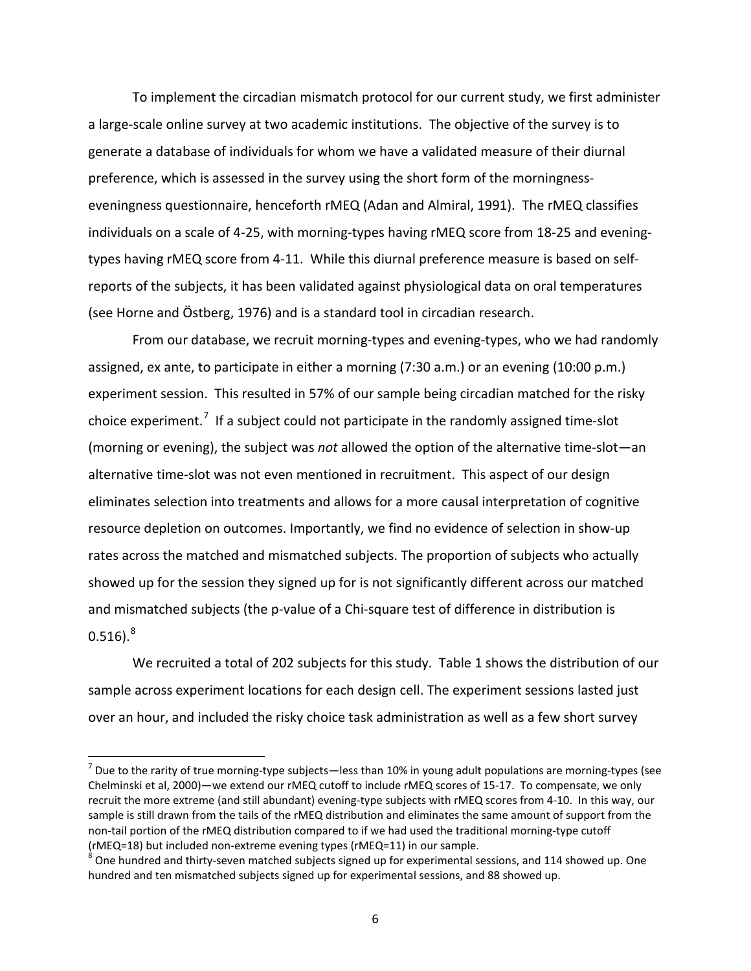To implement the circadian mismatch protocol for our current study, we first administer a large-scale online survey at two academic institutions. The objective of the survey is to generate a database of individuals for whom we have a validated measure of their diurnal preference, which is assessed in the survey using the short form of the morningnesseveningness questionnaire, henceforth rMEQ (Adan and Almiral, 1991). The rMEQ classifies individuals on a scale of 4-25, with morning-types having rMEQ score from 18-25 and eveningtypes having rMEQ score from 4-11. While this diurnal preference measure is based on selfreports of the subjects, it has been validated against physiological data on oral temperatures (see Horne and Östberg, 1976) and is a standard tool in circadian research.

From our database, we recruit morning-types and evening-types, who we had randomly assigned, ex ante, to participate in either a morning (7:30 a.m.) or an evening (10:00 p.m.) experiment session. This resulted in 57% of our sample being circadian matched for the risky choice experiment.<sup>[7](#page-7-0)</sup> If a subject could not participate in the randomly assigned time-slot (morning or evening), the subject was *not* allowed the option of the alternative time-slot—an alternative time-slot was not even mentioned in recruitment. This aspect of our design eliminates selection into treatments and allows for a more causal interpretation of cognitive resource depletion on outcomes. Importantly, we find no evidence of selection in show-up rates across the matched and mismatched subjects. The proportion of subjects who actually showed up for the session they signed up for is not significantly different across our matched and mismatched subjects (the p-value of a Chi-square test of difference in distribution is  $0.516$ ).<sup>[8](#page-8-0)</sup>

We recruited a total of 202 subjects for this study. Table 1 shows the distribution of our sample across experiment locations for each design cell. The experiment sessions lasted just over an hour, and included the risky choice task administration as well as a few short survey

 $<sup>7</sup>$  Due to the rarity of true morning-type subjects—less than 10% in young adult populations are morning-types (see</sup> Chelminski et al, 2000)—we extend our rMEQ cutoff to include rMEQ scores of 15-17. To compensate, we only recruit the more extreme (and still abundant) evening-type subjects with rMEQ scores from 4-10. In this way, our sample is still drawn from the tails of the rMEQ distribution and eliminates the same amount of support from the non-tail portion of the rMEQ distribution compared to if we had used the traditional morning-type cutoff

<span id="page-8-1"></span><span id="page-8-0"></span><sup>(</sup>rMEQ=18) but included non-extreme evening types (rMEQ=11) in our sample.<br><sup>8</sup> One hundred and thirty-seven matched subjects signed up for experimental sessions, and 114 showed up. One hundred and ten mismatched subjects signed up for experimental sessions, and 88 showed up.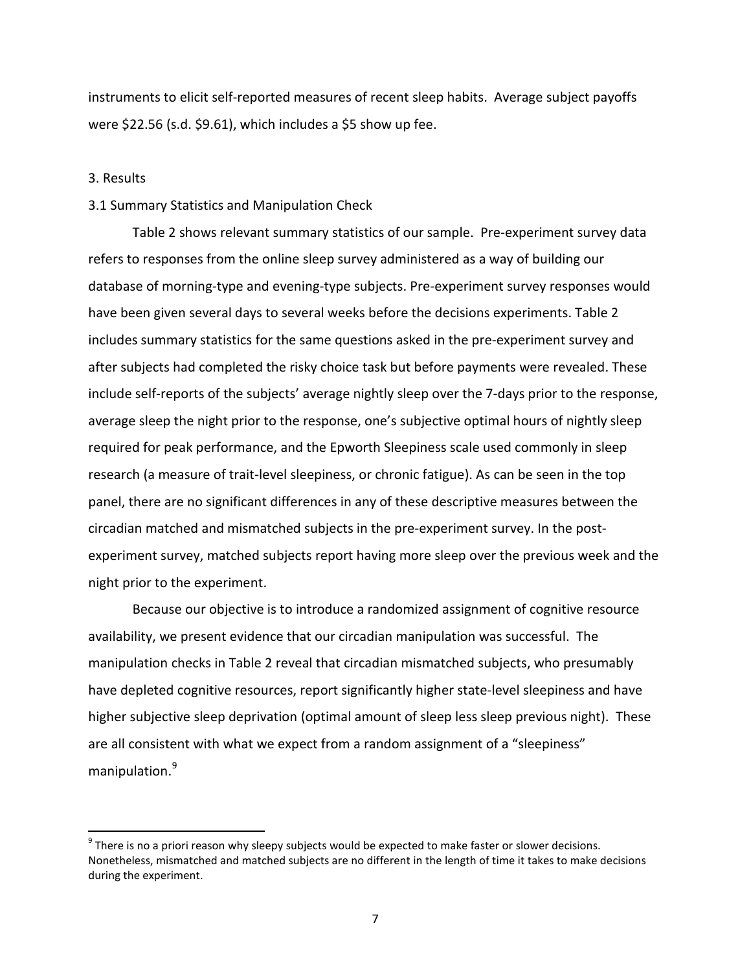instruments to elicit self-reported measures of recent sleep habits. Average subject payoffs were \$22.56 (s.d. \$9.61), which includes a \$5 show up fee.

#### 3. Results

### 3.1 Summary Statistics and Manipulation Check

Table 2 shows relevant summary statistics of our sample. Pre-experiment survey data refers to responses from the online sleep survey administered as a way of building our database of morning-type and evening-type subjects. Pre-experiment survey responses would have been given several days to several weeks before the decisions experiments. Table 2 includes summary statistics for the same questions asked in the pre-experiment survey and after subjects had completed the risky choice task but before payments were revealed. These include self-reports of the subjects' average nightly sleep over the 7-days prior to the response, average sleep the night prior to the response, one's subjective optimal hours of nightly sleep required for peak performance, and the Epworth Sleepiness scale used commonly in sleep research (a measure of trait-level sleepiness, or chronic fatigue). As can be seen in the top panel, there are no significant differences in any of these descriptive measures between the circadian matched and mismatched subjects in the pre-experiment survey. In the postexperiment survey, matched subjects report having more sleep over the previous week and the night prior to the experiment.

Because our objective is to introduce a randomized assignment of cognitive resource availability, we present evidence that our circadian manipulation was successful. The manipulation checks in Table 2 reveal that circadian mismatched subjects, who presumably have depleted cognitive resources, report significantly higher state-level sleepiness and have higher subjective sleep deprivation (optimal amount of sleep less sleep previous night). These are all consistent with what we expect from a random assignment of a "sleepiness" manipulation.[9](#page-8-1)

<span id="page-9-0"></span> $9$  There is no a priori reason why sleepy subjects would be expected to make faster or slower decisions. Nonetheless, mismatched and matched subjects are no different in the length of time it takes to make decisions during the experiment.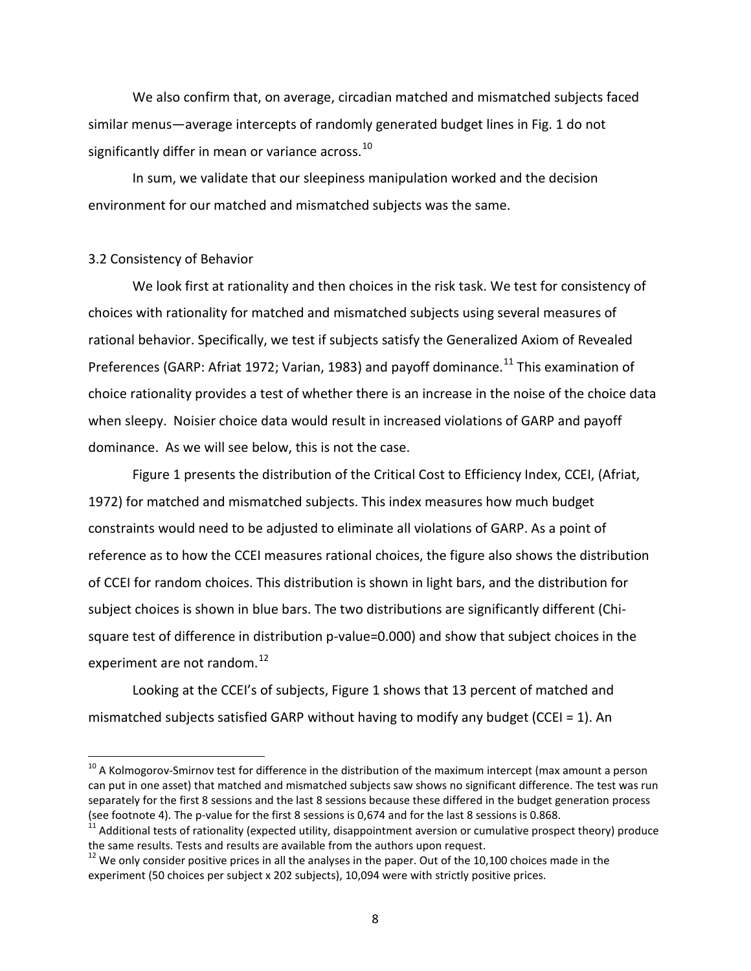We also confirm that, on average, circadian matched and mismatched subjects faced similar menus—average intercepts of randomly generated budget lines in Fig. 1 do not significantly differ in mean or variance across. $^{10}$  $^{10}$  $^{10}$ 

In sum, we validate that our sleepiness manipulation worked and the decision environment for our matched and mismatched subjects was the same.

#### 3.2 Consistency of Behavior

We look first at rationality and then choices in the risk task. We test for consistency of choices with rationality for matched and mismatched subjects using several measures of rational behavior. Specifically, we test if subjects satisfy the Generalized Axiom of Revealed Preferences (GARP: Afriat 1972; Varian, 1983) and payoff dominance.<sup>[11](#page-10-0)</sup> This examination of choice rationality provides a test of whether there is an increase in the noise of the choice data when sleepy. Noisier choice data would result in increased violations of GARP and payoff dominance. As we will see below, this is not the case.

Figure 1 presents the distribution of the Critical Cost to Efficiency Index, CCEI, (Afriat, 1972) for matched and mismatched subjects. This index measures how much budget constraints would need to be adjusted to eliminate all violations of GARP. As a point of reference as to how the CCEI measures rational choices, the figure also shows the distribution of CCEI for random choices. This distribution is shown in light bars, and the distribution for subject choices is shown in blue bars. The two distributions are significantly different (Chisquare test of difference in distribution p-value=0.000) and show that subject choices in the experiment are not random.<sup>[12](#page-10-1)</sup>

Looking at the CCEI's of subjects, Figure 1 shows that 13 percent of matched and mismatched subjects satisfied GARP without having to modify any budget (CCEI = 1). An

<span id="page-10-2"></span> $10$  A Kolmogorov-Smirnov test for difference in the distribution of the maximum intercept (max amount a person can put in one asset) that matched and mismatched subjects saw shows no significant difference. The test was run separately for the first 8 sessions and the last 8 sessions because these differed in the budget generation process (see footnote 4). The p-value for the first 8 sessions is 0,674 and for the last 8 sessions is 0.868.<br><sup>11</sup> Additional tests of rationality (expected utility, disappointment aversion or cumulative prospect theory) produce

<span id="page-10-0"></span>the same results. Tests and results are available from the authors upon request.

<span id="page-10-1"></span> $12$  We only consider positive prices in all the analyses in the paper. Out of the 10,100 choices made in the experiment (50 choices per subject x 202 subjects), 10,094 were with strictly positive prices.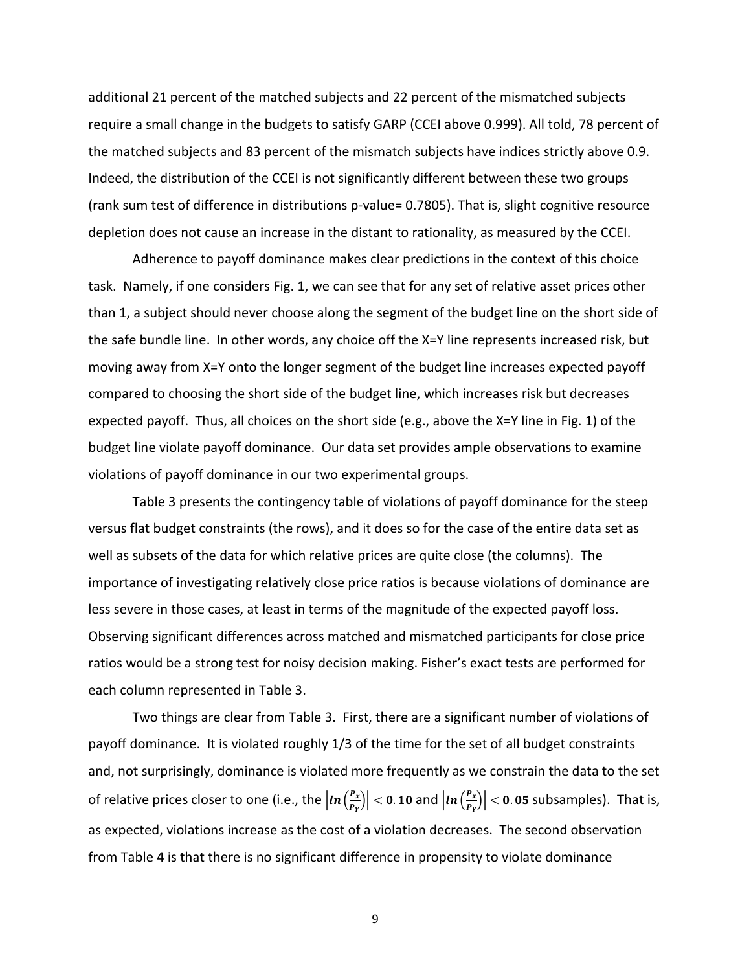additional 21 percent of the matched subjects and 22 percent of the mismatched subjects require a small change in the budgets to satisfy GARP (CCEI above 0.999). All told, 78 percent of the matched subjects and 83 percent of the mismatch subjects have indices strictly above 0.9. Indeed, the distribution of the CCEI is not significantly different between these two groups (rank sum test of difference in distributions p-value= 0.7805). That is, slight cognitive resource depletion does not cause an increase in the distant to rationality, as measured by the CCEI.

Adherence to payoff dominance makes clear predictions in the context of this choice task. Namely, if one considers Fig. 1, we can see that for any set of relative asset prices other than 1, a subject should never choose along the segment of the budget line on the short side of the safe bundle line. In other words, any choice off the X=Y line represents increased risk, but moving away from X=Y onto the longer segment of the budget line increases expected payoff compared to choosing the short side of the budget line, which increases risk but decreases expected payoff. Thus, all choices on the short side (e.g., above the X=Y line in Fig. 1) of the budget line violate payoff dominance. Our data set provides ample observations to examine violations of payoff dominance in our two experimental groups.

Table 3 presents the contingency table of violations of payoff dominance for the steep versus flat budget constraints (the rows), and it does so for the case of the entire data set as well as subsets of the data for which relative prices are quite close (the columns). The importance of investigating relatively close price ratios is because violations of dominance are less severe in those cases, at least in terms of the magnitude of the expected payoff loss. Observing significant differences across matched and mismatched participants for close price ratios would be a strong test for noisy decision making. Fisher's exact tests are performed for each column represented in Table 3.

Two things are clear from Table 3. First, there are a significant number of violations of payoff dominance. It is violated roughly 1/3 of the time for the set of all budget constraints and, not surprisingly, dominance is violated more frequently as we constrain the data to the set of relative prices closer to one (i.e., the  $|ln(\frac{P_X}{P_V})|$  $\left| \frac{P_X}{P_Y} \right| < 0$ . 10 and  $\left| \ln \left( \frac{P_X}{P_Y} \right) \right|$  $\left| \frac{P_X}{P_Y} \right|$  < 0.05 subsamples). That is, as expected, violations increase as the cost of a violation decreases. The second observation from Table 4 is that there is no significant difference in propensity to violate dominance

9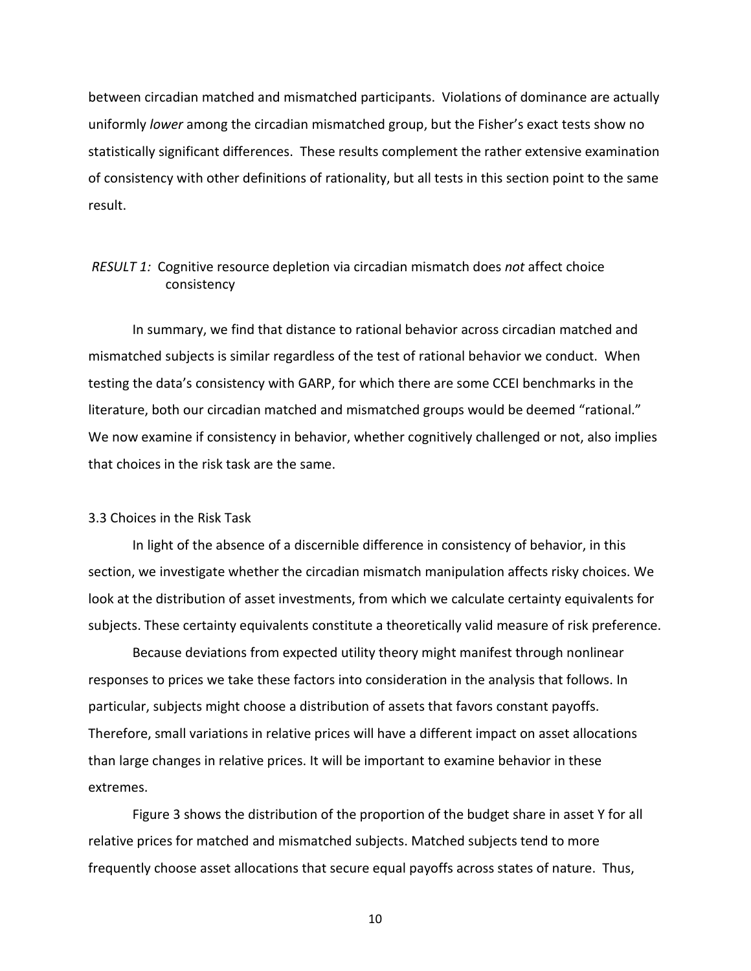between circadian matched and mismatched participants. Violations of dominance are actually uniformly *lower* among the circadian mismatched group, but the Fisher's exact tests show no statistically significant differences. These results complement the rather extensive examination of consistency with other definitions of rationality, but all tests in this section point to the same result.

# *RESULT 1:* Cognitive resource depletion via circadian mismatch does *not* affect choice consistency

In summary, we find that distance to rational behavior across circadian matched and mismatched subjects is similar regardless of the test of rational behavior we conduct. When testing the data's consistency with GARP, for which there are some CCEI benchmarks in the literature, both our circadian matched and mismatched groups would be deemed "rational." We now examine if consistency in behavior, whether cognitively challenged or not, also implies that choices in the risk task are the same.

#### 3.3 Choices in the Risk Task

In light of the absence of a discernible difference in consistency of behavior, in this section, we investigate whether the circadian mismatch manipulation affects risky choices. We look at the distribution of asset investments, from which we calculate certainty equivalents for subjects. These certainty equivalents constitute a theoretically valid measure of risk preference.

Because deviations from expected utility theory might manifest through nonlinear responses to prices we take these factors into consideration in the analysis that follows. In particular, subjects might choose a distribution of assets that favors constant payoffs. Therefore, small variations in relative prices will have a different impact on asset allocations than large changes in relative prices. It will be important to examine behavior in these extremes.

Figure 3 shows the distribution of the proportion of the budget share in asset Y for all relative prices for matched and mismatched subjects. Matched subjects tend to more frequently choose asset allocations that secure equal payoffs across states of nature. Thus,

10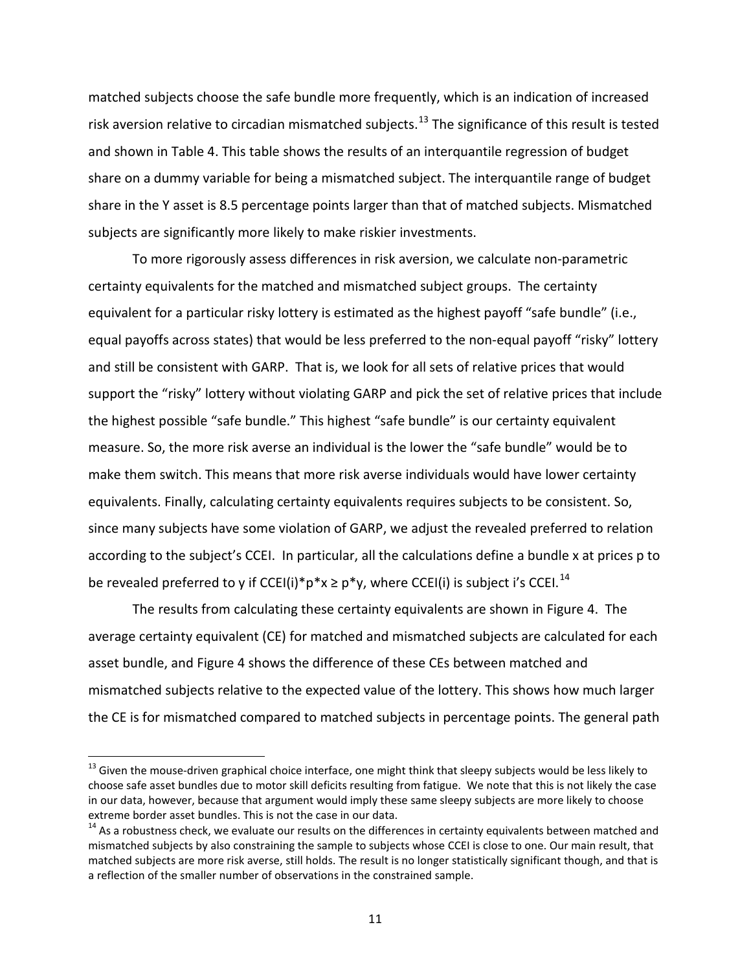matched subjects choose the safe bundle more frequently, which is an indication of increased risk aversion relative to circadian mismatched subjects.<sup>[13](#page-10-2)</sup> The significance of this result is tested and shown in Table 4. This table shows the results of an interquantile regression of budget share on a dummy variable for being a mismatched subject. The interquantile range of budget share in the Y asset is 8.5 percentage points larger than that of matched subjects. Mismatched subjects are significantly more likely to make riskier investments.

To more rigorously assess differences in risk aversion, we calculate non-parametric certainty equivalents for the matched and mismatched subject groups. The certainty equivalent for a particular risky lottery is estimated as the highest payoff "safe bundle" (i.e., equal payoffs across states) that would be less preferred to the non-equal payoff "risky" lottery and still be consistent with GARP. That is, we look for all sets of relative prices that would support the "risky" lottery without violating GARP and pick the set of relative prices that include the highest possible "safe bundle." This highest "safe bundle" is our certainty equivalent measure. So, the more risk averse an individual is the lower the "safe bundle" would be to make them switch. This means that more risk averse individuals would have lower certainty equivalents. Finally, calculating certainty equivalents requires subjects to be consistent. So, since many subjects have some violation of GARP, we adjust the revealed preferred to relation according to the subject's CCEI. In particular, all the calculations define a bundle x at prices p to be revealed preferred to y if CCEI(i)\*p\*x  $\ge$  p\*y, where CCEI(i) is subject i's CCEI.<sup>[14](#page-13-0)</sup>

The results from calculating these certainty equivalents are shown in Figure 4. The average certainty equivalent (CE) for matched and mismatched subjects are calculated for each asset bundle, and Figure 4 shows the difference of these CEs between matched and mismatched subjects relative to the expected value of the lottery. This shows how much larger the CE is for mismatched compared to matched subjects in percentage points. The general path

<sup>&</sup>lt;sup>13</sup> Given the mouse-driven graphical choice interface, one might think that sleepy subjects would be less likely to choose safe asset bundles due to motor skill deficits resulting from fatigue. We note that this is not likely the case in our data, however, because that argument would imply these same sleepy subjects are more likely to choose extreme border asset bundles. This is not the case in our data.<br><sup>14</sup> As a robustness check, we evaluate our results on the differences in certainty equivalents between matched and

<span id="page-13-1"></span><span id="page-13-0"></span>mismatched subjects by also constraining the sample to subjects whose CCEI is close to one. Our main result, that matched subjects are more risk averse, still holds. The result is no longer statistically significant though, and that is a reflection of the smaller number of observations in the constrained sample.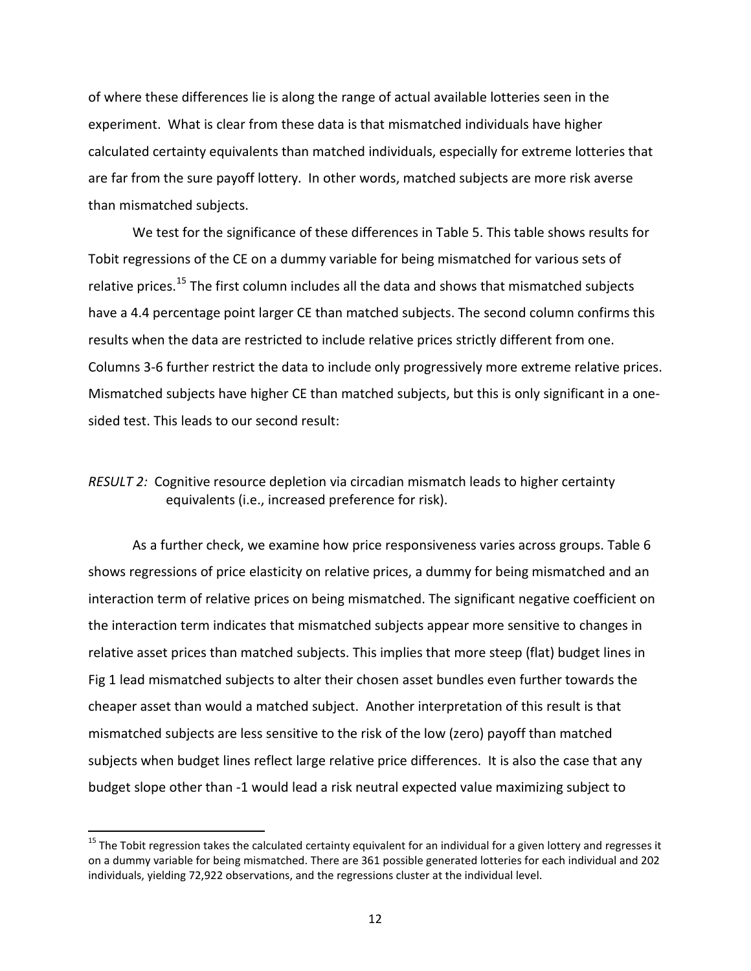of where these differences lie is along the range of actual available lotteries seen in the experiment. What is clear from these data is that mismatched individuals have higher calculated certainty equivalents than matched individuals, especially for extreme lotteries that are far from the sure payoff lottery. In other words, matched subjects are more risk averse than mismatched subjects.

We test for the significance of these differences in Table 5. This table shows results for Tobit regressions of the CE on a dummy variable for being mismatched for various sets of relative prices.<sup>[15](#page-13-1)</sup> The first column includes all the data and shows that mismatched subjects have a 4.4 percentage point larger CE than matched subjects. The second column confirms this results when the data are restricted to include relative prices strictly different from one. Columns 3-6 further restrict the data to include only progressively more extreme relative prices. Mismatched subjects have higher CE than matched subjects, but this is only significant in a onesided test. This leads to our second result:

# *RESULT 2:* Cognitive resource depletion via circadian mismatch leads to higher certainty equivalents (i.e., increased preference for risk).

As a further check, we examine how price responsiveness varies across groups. Table 6 shows regressions of price elasticity on relative prices, a dummy for being mismatched and an interaction term of relative prices on being mismatched. The significant negative coefficient on the interaction term indicates that mismatched subjects appear more sensitive to changes in relative asset prices than matched subjects. This implies that more steep (flat) budget lines in Fig 1 lead mismatched subjects to alter their chosen asset bundles even further towards the cheaper asset than would a matched subject. Another interpretation of this result is that mismatched subjects are less sensitive to the risk of the low (zero) payoff than matched subjects when budget lines reflect large relative price differences. It is also the case that any budget slope other than -1 would lead a risk neutral expected value maximizing subject to

<span id="page-14-0"></span> $15$  The Tobit regression takes the calculated certainty equivalent for an individual for a given lottery and regresses it on a dummy variable for being mismatched. There are 361 possible generated lotteries for each individual and 202 individuals, yielding 72,922 observations, and the regressions cluster at the individual level.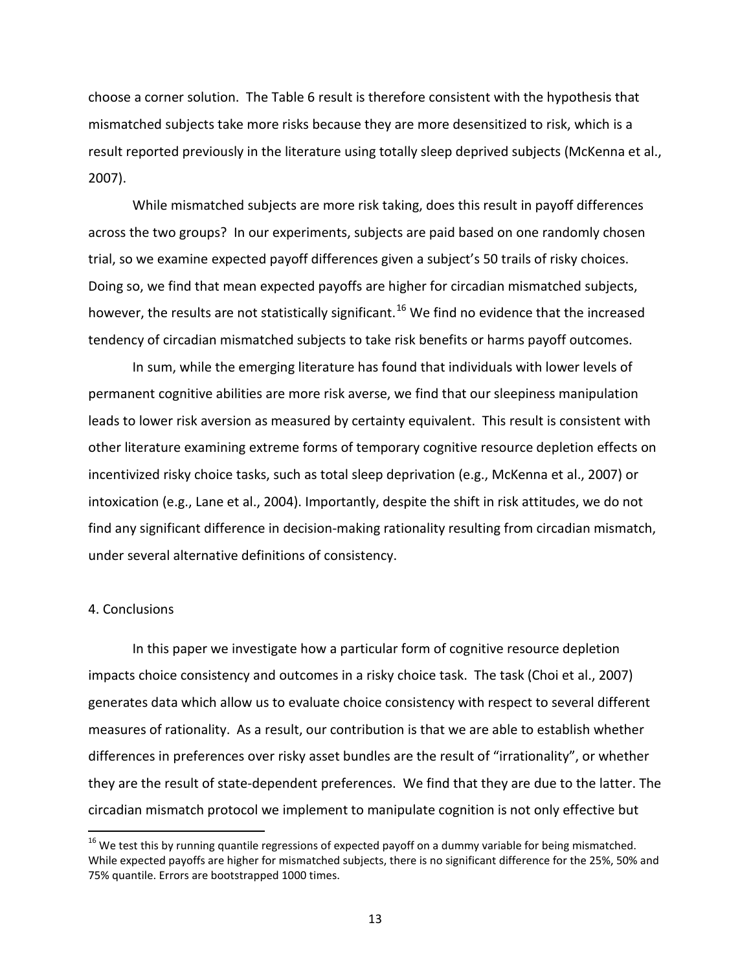choose a corner solution. The Table 6 result is therefore consistent with the hypothesis that mismatched subjects take more risks because they are more desensitized to risk, which is a result reported previously in the literature using totally sleep deprived subjects (McKenna et al., 2007).

While mismatched subjects are more risk taking, does this result in payoff differences across the two groups? In our experiments, subjects are paid based on one randomly chosen trial, so we examine expected payoff differences given a subject's 50 trails of risky choices. Doing so, we find that mean expected payoffs are higher for circadian mismatched subjects, however, the results are not statistically significant.<sup>[16](#page-14-0)</sup> We find no evidence that the increased tendency of circadian mismatched subjects to take risk benefits or harms payoff outcomes.

In sum, while the emerging literature has found that individuals with lower levels of permanent cognitive abilities are more risk averse, we find that our sleepiness manipulation leads to lower risk aversion as measured by certainty equivalent. This result is consistent with other literature examining extreme forms of temporary cognitive resource depletion effects on incentivized risky choice tasks, such as total sleep deprivation (e.g., McKenna et al., 2007) or intoxication (e.g., Lane et al., 2004). Importantly, despite the shift in risk attitudes, we do not find any significant difference in decision-making rationality resulting from circadian mismatch, under several alternative definitions of consistency.

### 4. Conclusions

In this paper we investigate how a particular form of cognitive resource depletion impacts choice consistency and outcomes in a risky choice task. The task (Choi et al., 2007) generates data which allow us to evaluate choice consistency with respect to several different measures of rationality. As a result, our contribution is that we are able to establish whether differences in preferences over risky asset bundles are the result of "irrationality", or whether they are the result of state-dependent preferences. We find that they are due to the latter. The circadian mismatch protocol we implement to manipulate cognition is not only effective but

<sup>&</sup>lt;sup>16</sup> We test this by running quantile regressions of expected payoff on a dummy variable for being mismatched. While expected payoffs are higher for mismatched subjects, there is no significant difference for the 25%, 50% and 75% quantile. Errors are bootstrapped 1000 times.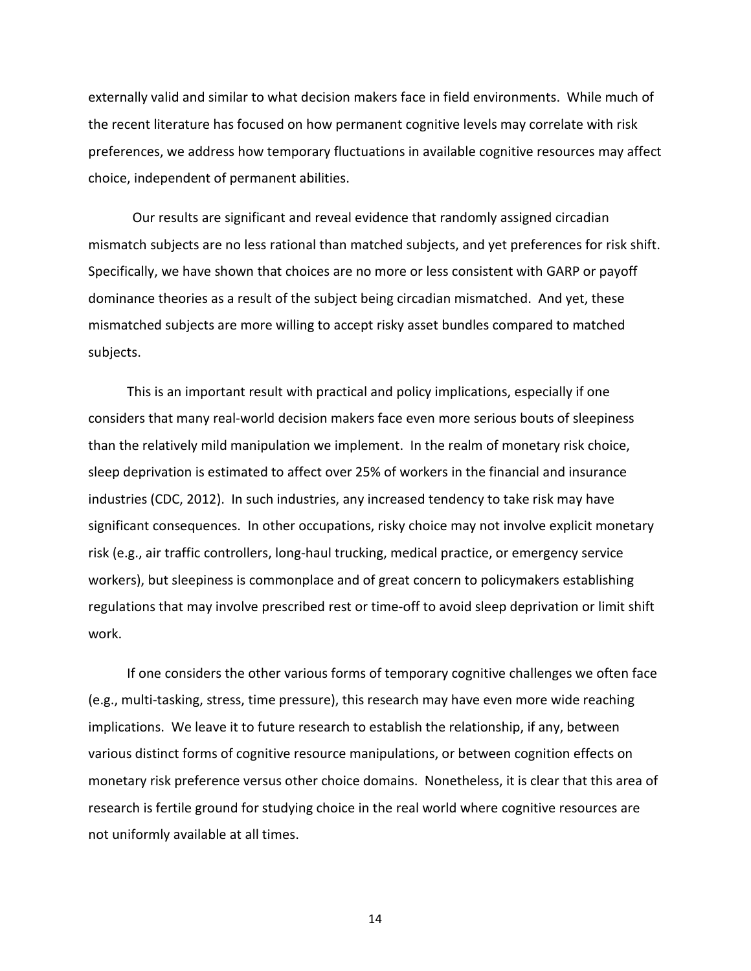externally valid and similar to what decision makers face in field environments. While much of the recent literature has focused on how permanent cognitive levels may correlate with risk preferences, we address how temporary fluctuations in available cognitive resources may affect choice, independent of permanent abilities.

Our results are significant and reveal evidence that randomly assigned circadian mismatch subjects are no less rational than matched subjects, and yet preferences for risk shift. Specifically, we have shown that choices are no more or less consistent with GARP or payoff dominance theories as a result of the subject being circadian mismatched. And yet, these mismatched subjects are more willing to accept risky asset bundles compared to matched subjects.

This is an important result with practical and policy implications, especially if one considers that many real-world decision makers face even more serious bouts of sleepiness than the relatively mild manipulation we implement. In the realm of monetary risk choice, sleep deprivation is estimated to affect over 25% of workers in the financial and insurance industries (CDC, 2012). In such industries, any increased tendency to take risk may have significant consequences. In other occupations, risky choice may not involve explicit monetary risk (e.g., air traffic controllers, long-haul trucking, medical practice, or emergency service workers), but sleepiness is commonplace and of great concern to policymakers establishing regulations that may involve prescribed rest or time-off to avoid sleep deprivation or limit shift work.

If one considers the other various forms of temporary cognitive challenges we often face (e.g., multi-tasking, stress, time pressure), this research may have even more wide reaching implications. We leave it to future research to establish the relationship, if any, between various distinct forms of cognitive resource manipulations, or between cognition effects on monetary risk preference versus other choice domains. Nonetheless, it is clear that this area of research is fertile ground for studying choice in the real world where cognitive resources are not uniformly available at all times.

14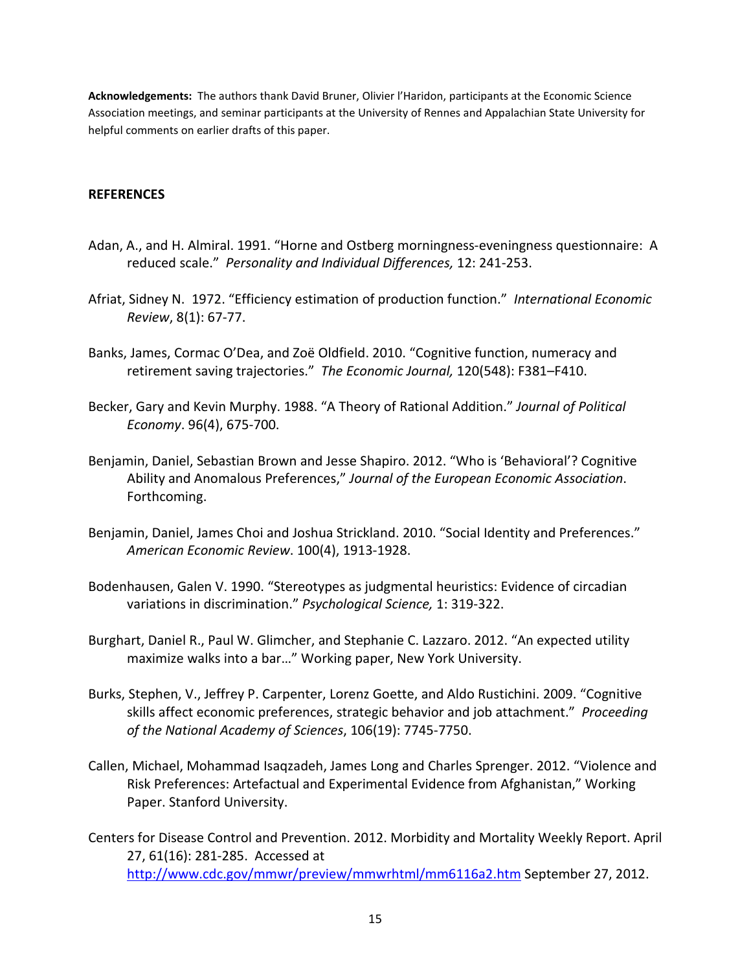**Acknowledgements:** The authors thank David Bruner, Olivier l'Haridon, participants at the Economic Science Association meetings, and seminar participants at the University of Rennes and Appalachian State University for helpful comments on earlier drafts of this paper.

#### **REFERENCES**

- Adan, A., and H. Almiral. 1991. "Horne and Ostberg morningness-eveningness questionnaire: A reduced scale." *Personality and Individual Differences,* 12: 241-253.
- Afriat, Sidney N. 1972. "Efficiency estimation of production function." *International Economic Review*, 8(1): 67-77.
- Banks, James, Cormac O'Dea, and Zoë Oldfield. 2010. "Cognitive function, numeracy and retirement saving trajectories." *The Economic Journal,* 120(548): F381–F410.
- Becker, Gary and Kevin Murphy. 1988. "A Theory of Rational Addition." *Journal of Political Economy*. 96(4), 675-700.
- Benjamin, Daniel, Sebastian Brown and Jesse Shapiro. 2012. "Who is 'Behavioral'? Cognitive Ability and Anomalous Preferences," *Journal of the European Economic Association*. Forthcoming.
- Benjamin, Daniel, James Choi and Joshua Strickland. 2010. "Social Identity and Preferences." *American Economic Review*. 100(4), 1913-1928.
- Bodenhausen, Galen V. 1990. "Stereotypes as judgmental heuristics: Evidence of circadian variations in discrimination." *Psychological Science,* 1: 319-322.
- Burghart, Daniel R., Paul W. Glimcher, and Stephanie C. Lazzaro. 2012. "An expected utility maximize walks into a bar…" Working paper, New York University.
- Burks, Stephen, V., Jeffrey P. Carpenter, Lorenz Goette, and Aldo Rustichini. 2009. "Cognitive skills affect economic preferences, strategic behavior and job attachment." *Proceeding of the National Academy of Sciences*, 106(19): 7745-7750.
- Callen, Michael, Mohammad Isaqzadeh, James Long and Charles Sprenger. 2012. "Violence and Risk Preferences: Artefactual and Experimental Evidence from Afghanistan," Working Paper. Stanford University.
- Centers for Disease Control and Prevention. 2012. Morbidity and Mortality Weekly Report. April 27, 61(16): 281-285. Accessed at <http://www.cdc.gov/mmwr/preview/mmwrhtml/mm6116a2.htm> September 27, 2012.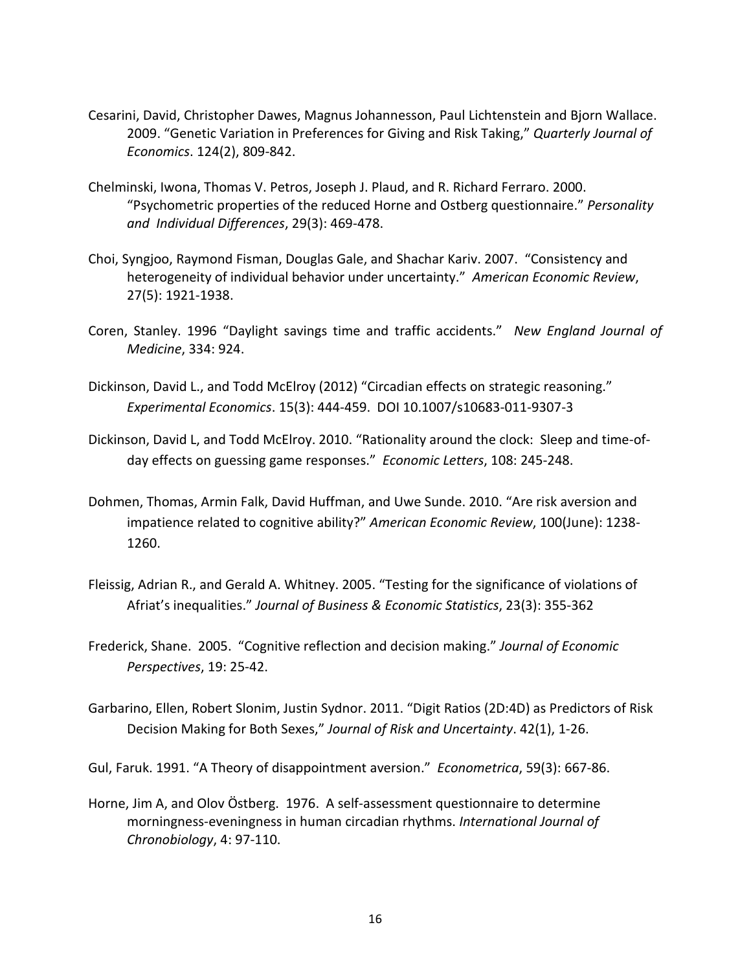- Cesarini, David, Christopher Dawes, Magnus Johannesson, Paul Lichtenstein and Bjorn Wallace. 2009. "Genetic Variation in Preferences for Giving and Risk Taking," *Quarterly Journal of Economics*. 124(2), 809-842.
- Chelminski, Iwona, Thomas V. Petros, Joseph J. Plaud, and R. Richard Ferraro. 2000. "Psychometric properties of the reduced Horne and Ostberg questionnaire." *Personality and Individual Differences*, 29(3): 469-478.
- Choi, Syngjoo, Raymond Fisman, Douglas Gale, and Shachar Kariv. 2007. "Consistency and heterogeneity of individual behavior under uncertainty." *American Economic Review*, 27(5): 1921-1938.
- Coren, Stanley. 1996 "Daylight savings time and traffic accidents." *New England Journal of Medicine*, 334: 924.
- Dickinson, David L., and Todd McElroy (2012) "Circadian effects on strategic reasoning." *Experimental Economics*. 15(3): 444-459. DOI 10.1007/s10683-011-9307-3
- Dickinson, David L, and Todd McElroy. 2010. "Rationality around the clock: Sleep and time-ofday effects on guessing game responses." *Economic Letters*, 108: 245-248.
- Dohmen, Thomas, Armin Falk, David Huffman, and Uwe Sunde. 2010. "Are risk aversion and impatience related to cognitive ability?" *American Economic Review*, 100(June): 1238- 1260.
- Fleissig, Adrian R., and Gerald A. Whitney. 2005. "Testing for the significance of violations of Afriat's inequalities." *Journal of Business & Economic Statistics*, 23(3): 355-362
- Frederick, Shane. 2005. "Cognitive reflection and decision making." *Journal of Economic Perspectives*, 19: 25-42.
- Garbarino, Ellen, Robert Slonim, Justin Sydnor. 2011. "Digit Ratios (2D:4D) as Predictors of Risk Decision Making for Both Sexes," *Journal of Risk and Uncertainty*. 42(1), 1-26.

Gul, Faruk. 1991. "A Theory of disappointment aversion." *Econometrica*, 59(3): 667-86.

Horne, Jim A, and Olov Östberg. 1976. A self-assessment questionnaire to determine morningness-eveningness in human circadian rhythms. *International Journal of Chronobiology*, 4: 97-110.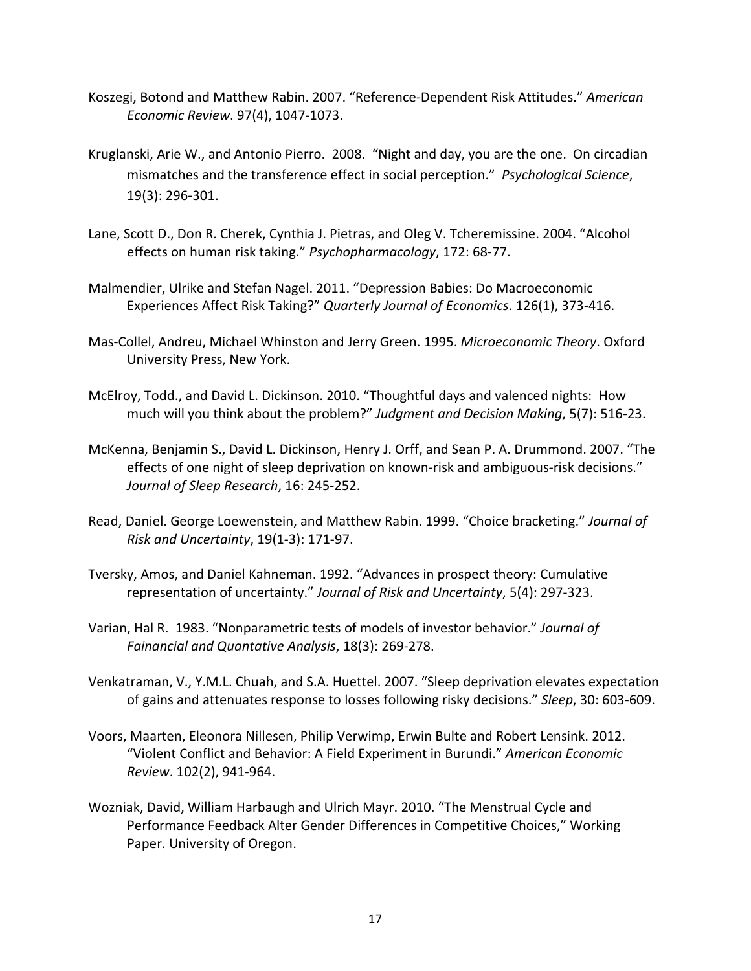- Koszegi, Botond and Matthew Rabin. 2007. "Reference-Dependent Risk Attitudes." *American Economic Review*. 97(4), 1047-1073.
- Kruglanski, Arie W., and Antonio Pierro. 2008. "Night and day, you are the one. On circadian mismatches and the transference effect in social perception." *Psychological Science*, 19(3): 296-301.
- Lane, Scott D., Don R. Cherek, Cynthia J. Pietras, and Oleg V. Tcheremissine. 2004. "Alcohol effects on human risk taking." *Psychopharmacology*, 172: 68-77.
- Malmendier, Ulrike and Stefan Nagel. 2011. "Depression Babies: Do Macroeconomic Experiences Affect Risk Taking?" *Quarterly Journal of Economics*. 126(1), 373-416.
- Mas-Collel, Andreu, Michael Whinston and Jerry Green. 1995. *Microeconomic Theory*. Oxford University Press, New York.
- McElroy, Todd., and David L. Dickinson. 2010. "Thoughtful days and valenced nights: How much will you think about the problem?" *Judgment and Decision Making*, 5(7): 516-23.
- McKenna, Benjamin S., David L. Dickinson, Henry J. Orff, and Sean P. A. Drummond. 2007. "The effects of one night of sleep deprivation on known-risk and ambiguous-risk decisions." *Journal of Sleep Research*, 16: 245-252.
- Read, Daniel. George Loewenstein, and Matthew Rabin. 1999. "Choice bracketing." *Journal of Risk and Uncertainty*, 19(1-3): 171-97.
- Tversky, Amos, and Daniel Kahneman. 1992. "Advances in prospect theory: Cumulative representation of uncertainty." *Journal of Risk and Uncertainty*, 5(4): 297-323.
- Varian, Hal R. 1983. "Nonparametric tests of models of investor behavior." *Journal of Fainancial and Quantative Analysis*, 18(3): 269-278.
- Venkatraman, V., Y.M.L. Chuah, and S.A. Huettel. 2007. "Sleep deprivation elevates expectation of gains and attenuates response to losses following risky decisions." *Sleep*, 30: 603-609.
- Voors, Maarten, Eleonora Nillesen, Philip Verwimp, Erwin Bulte and Robert Lensink. 2012. "Violent Conflict and Behavior: A Field Experiment in Burundi." *American Economic Review*. 102(2), 941-964.
- Wozniak, David, William Harbaugh and Ulrich Mayr. 2010. "The Menstrual Cycle and Performance Feedback Alter Gender Differences in Competitive Choices," Working Paper. University of Oregon.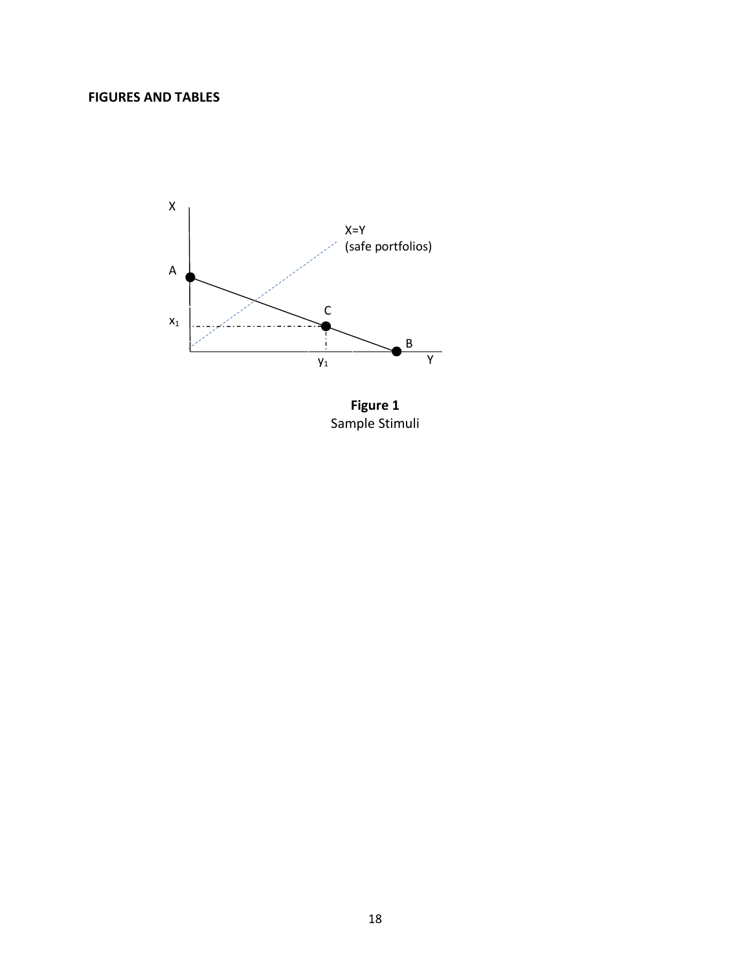# **FIGURES AND TABLES**



**Figure 1** Sample Stimuli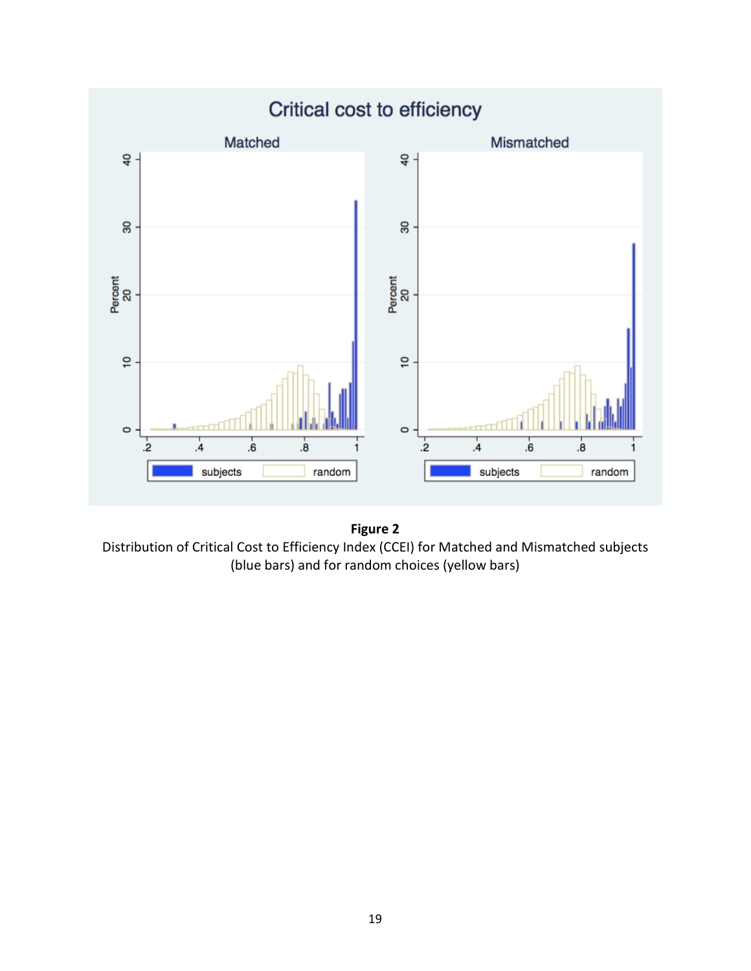



Distribution of Critical Cost to Efficiency Index (CCEI) for Matched and Mismatched subjects (blue bars) and for random choices (yellow bars)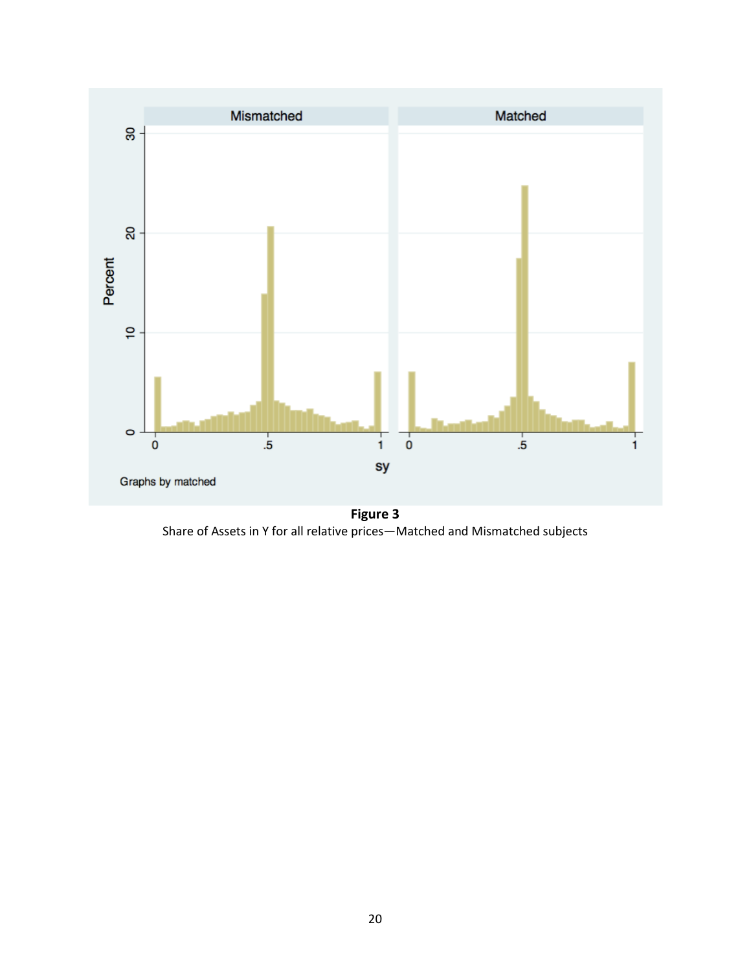

**Figure 3** Share of Assets in Y for all relative prices—Matched and Mismatched subjects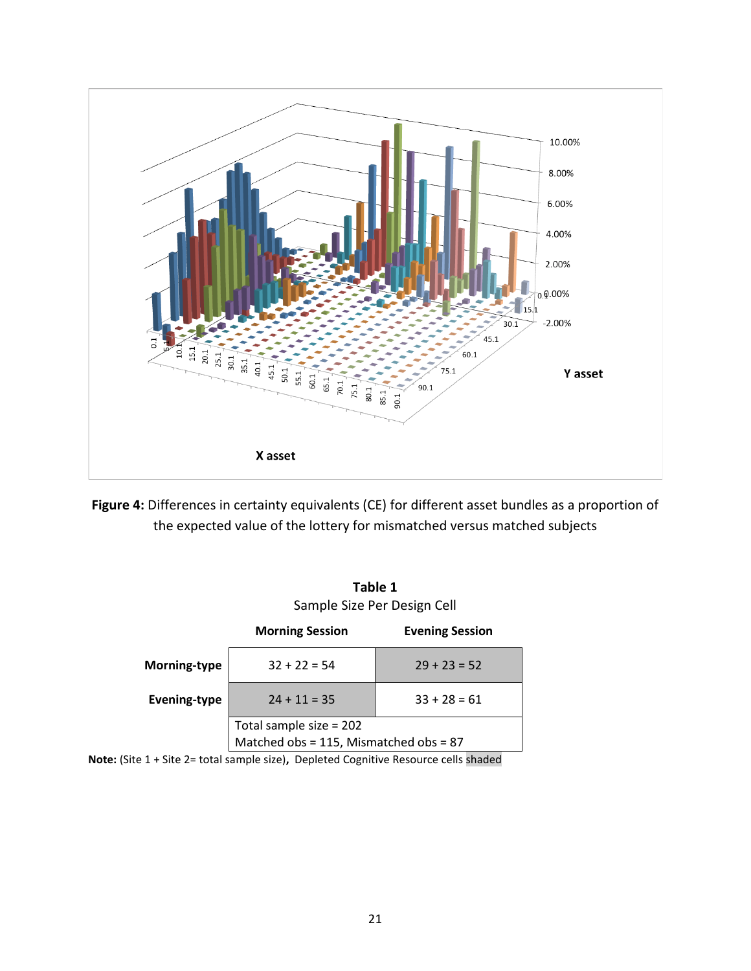

**Figure 4:** Differences in certainty equivalents (CE) for different asset bundles as a proportion of the expected value of the lottery for mismatched versus matched subjects

**Table 1**

|                     | Sample Size Per Design Cell                                       |                        |  |
|---------------------|-------------------------------------------------------------------|------------------------|--|
|                     | <b>Morning Session</b>                                            | <b>Evening Session</b> |  |
| Morning-type        | $32 + 22 = 54$                                                    | $29 + 23 = 52$         |  |
| <b>Evening-type</b> | $24 + 11 = 35$                                                    | $33 + 28 = 61$         |  |
|                     | Total sample size = 202<br>Matched obs = 115, Mismatched obs = 87 |                        |  |

**Note:** (Site 1 + Site 2= total sample size)**,** Depleted Cognitive Resource cells shaded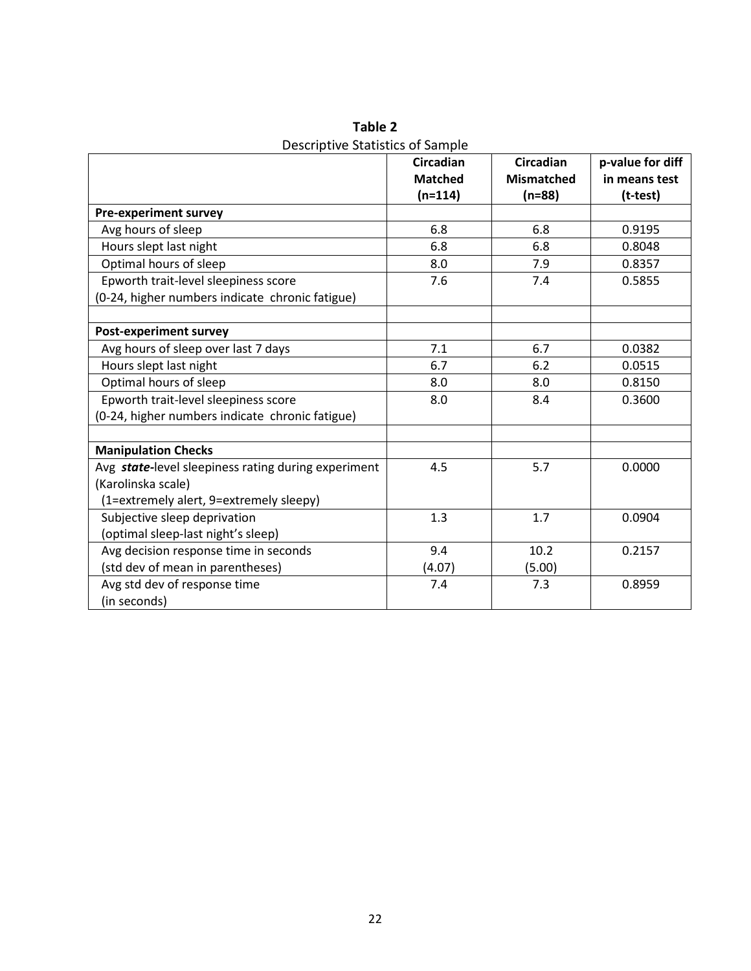|                                                     | <b>Circadian</b> | <b>Circadian</b>  | p-value for diff |
|-----------------------------------------------------|------------------|-------------------|------------------|
|                                                     | <b>Matched</b>   | <b>Mismatched</b> | in means test    |
|                                                     | $(n=114)$        | $(n=88)$          | (t-test)         |
| <b>Pre-experiment survey</b>                        |                  |                   |                  |
| Avg hours of sleep                                  | 6.8              | 6.8               | 0.9195           |
| Hours slept last night                              | 6.8              | 6.8               | 0.8048           |
| Optimal hours of sleep                              | 8.0              | 7.9               | 0.8357           |
| Epworth trait-level sleepiness score                | 7.6              | 7.4               | 0.5855           |
| (0-24, higher numbers indicate chronic fatigue)     |                  |                   |                  |
|                                                     |                  |                   |                  |
| <b>Post-experiment survey</b>                       |                  |                   |                  |
| Avg hours of sleep over last 7 days                 | 7.1              | 6.7               | 0.0382           |
| Hours slept last night                              | 6.7              | 6.2               | 0.0515           |
| Optimal hours of sleep                              | 8.0              | 8.0               | 0.8150           |
| Epworth trait-level sleepiness score                | 8.0              | 8.4               | 0.3600           |
| (0-24, higher numbers indicate chronic fatigue)     |                  |                   |                  |
|                                                     |                  |                   |                  |
| <b>Manipulation Checks</b>                          |                  |                   |                  |
| Avg state-level sleepiness rating during experiment | 4.5              | 5.7               | 0.0000           |
| (Karolinska scale)                                  |                  |                   |                  |
| (1=extremely alert, 9=extremely sleepy)             |                  |                   |                  |
| Subjective sleep deprivation                        | 1.3              | 1.7               | 0.0904           |
| (optimal sleep-last night's sleep)                  |                  |                   |                  |
| Avg decision response time in seconds               | 9.4              | 10.2              | 0.2157           |
| (std dev of mean in parentheses)                    | (4.07)           | (5.00)            |                  |
| Avg std dev of response time                        | 7.4              | 7.3               | 0.8959           |
| (in seconds)                                        |                  |                   |                  |

**Table 2** Descriptive Statistics of Sample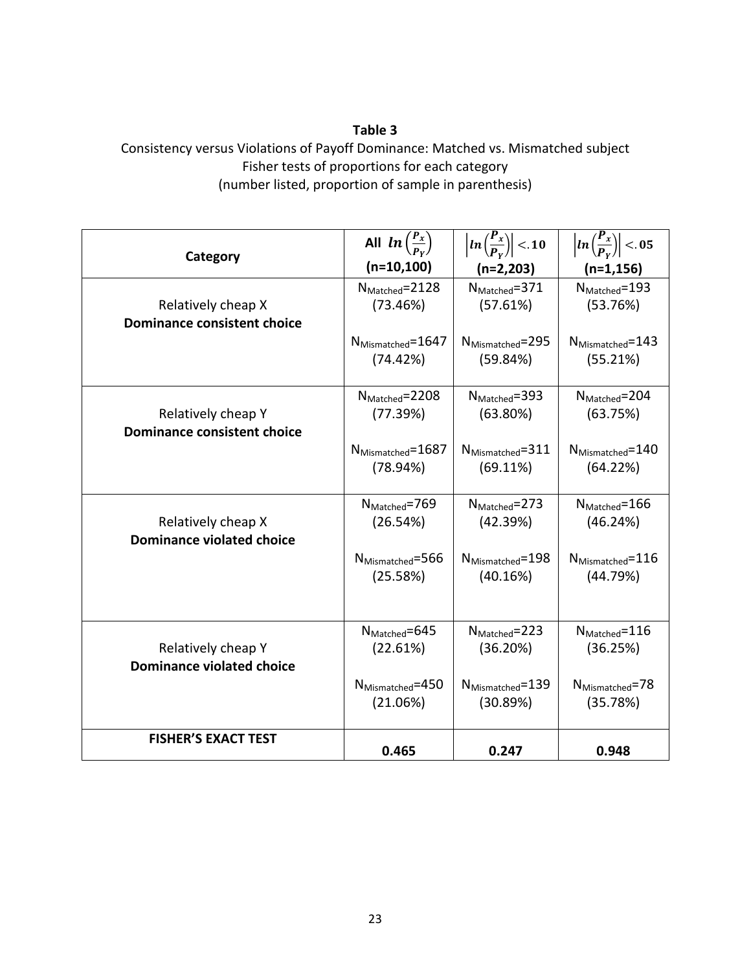# **Table 3**

# Consistency versus Violations of Payoff Dominance: Matched vs. Mismatched subject Fisher tests of proportions for each category (number listed, proportion of sample in parenthesis)

|                                    | All $ln\left(\frac{P_x}{P_y}\right)$ | $\left \ln\left(\frac{P_x}{P_v}\right)\right  < 10$ | $\left \ln\left(\frac{P_x}{P_y}\right)\right  < 0.5$ |
|------------------------------------|--------------------------------------|-----------------------------------------------------|------------------------------------------------------|
| Category                           | $(n=10,100)$                         | $(n=2,203)$                                         | $(n=1, 156)$                                         |
| Relatively cheap X                 | $N_{\text{Matched}} = 2128$          | $N_{\text{Matched}} = 371$                          | $N_{\text{Matched}} = 193$                           |
| <b>Dominance consistent choice</b> | (73.46%)                             | (57.61%)                                            | (53.76%)                                             |
|                                    | N <sub>Mismatched</sub> =1647        | $N_{Mismatched} = 295$                              | $N_{Mismatched} = 143$                               |
|                                    | (74.42%)                             | (59.84%)                                            | (55.21%)                                             |
| Relatively cheap Y                 | $N_{\text{Matched}} = 2208$          | $N_{\text{Matched}} = 393$                          | $N_{\text{Matched}} = 204$                           |
| <b>Dominance consistent choice</b> | (77.39%)                             | (63.80%)                                            | (63.75%)                                             |
|                                    | N <sub>Mismatched</sub> =1687        | $N_{Mismatched} = 311$                              | $N_{Mismatched} = 140$                               |
|                                    | (78.94%)                             | (69.11%)                                            | (64.22%)                                             |
| Relatively cheap X                 | $N_{\text{Matched}} = 769$           | $N_{\text{Matched}} = 273$                          | $N_{\text{Matched}} = 166$                           |
| <b>Dominance violated choice</b>   | (26.54%)                             | (42.39%)                                            | (46.24%)                                             |
|                                    | $N_{Mismatched} = 566$               | $N_{Mismatched} = 198$                              | N <sub>Mismatched</sub> =116                         |
|                                    | (25.58%)                             | (40.16%)                                            | (44.79%)                                             |
| Relatively cheap Y                 | $N_{\text{Matched}} = 645$           | $N_{\text{Matched}} = 223$                          | $N_{\text{Matched}} = 116$                           |
| <b>Dominance violated choice</b>   | (22.61%)                             | (36.20%)                                            | (36.25%)                                             |
|                                    | $N_{Mismatched} = 450$               | $N_{Mismatched} = 139$                              | $N_{Mismatched} = 78$                                |
|                                    | (21.06%)                             | (30.89%)                                            | (35.78%)                                             |
| <b>FISHER'S EXACT TEST</b>         | 0.465                                | 0.247                                               | 0.948                                                |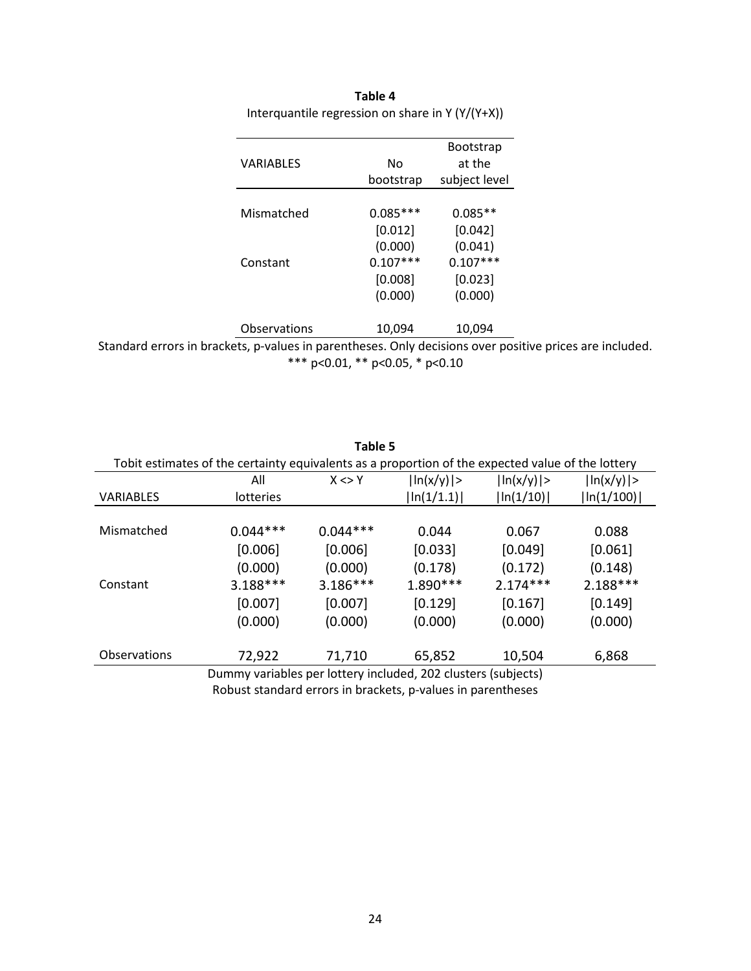|                                                                                                         |                     |            | <b>Bootstrap</b> |  |
|---------------------------------------------------------------------------------------------------------|---------------------|------------|------------------|--|
|                                                                                                         | <b>VARIABLES</b>    | No         | at the           |  |
|                                                                                                         |                     | bootstrap  | subject level    |  |
|                                                                                                         |                     |            |                  |  |
|                                                                                                         | Mismatched          | $0.085***$ | $0.085**$        |  |
|                                                                                                         |                     | [0.012]    | [0.042]          |  |
|                                                                                                         |                     | (0.000)    | (0.041)          |  |
|                                                                                                         | Constant            | $0.107***$ | $0.107***$       |  |
|                                                                                                         |                     | [0.008]    | [0.023]          |  |
|                                                                                                         |                     | (0.000)    | (0.000)          |  |
|                                                                                                         | <b>Observations</b> | 10,094     | 10,094           |  |
| Standard errors in brackets, p-values in parentheses. Only decisions over positive prices are included. |                     |            |                  |  |

**Table 4** Interquantile regression on share in Y (Y/(Y+X))

\*\*\* p<0.01, \*\* p<0.05, \* p<0.10

|                     |                                                                                                   | Table 5    |               |               |               |
|---------------------|---------------------------------------------------------------------------------------------------|------------|---------------|---------------|---------------|
|                     | Tobit estimates of the certainty equivalents as a proportion of the expected value of the lottery |            |               |               |               |
|                     | All                                                                                               | $X \leq Y$ | $\ln(x/y)$  > | $\ln(x/y)$  > | $\ln(x/y)$  > |
| <b>VARIABLES</b>    | lotteries                                                                                         |            | $\ln(1/1.1)$  | $\ln(1/10)$   | ln(1/100)     |
|                     |                                                                                                   |            |               |               |               |
| Mismatched          | $0.044***$                                                                                        | $0.044***$ | 0.044         | 0.067         | 0.088         |
|                     | [0.006]                                                                                           | [0.006]    | [0.033]       | [0.049]       | [0.061]       |
|                     | (0.000)                                                                                           | (0.000)    | (0.178)       | (0.172)       | (0.148)       |
| Constant            | 3.188***                                                                                          | $3.186***$ | 1.890 ***     | $2.174***$    | 2.188***      |
|                     | [0.007]                                                                                           | [0.007]    | [0.129]       | [0.167]       | [0.149]       |
|                     | (0.000)                                                                                           | (0.000)    | (0.000)       | (0.000)       | (0.000)       |
|                     |                                                                                                   |            |               |               |               |
| <b>Observations</b> | 72,922                                                                                            | 71,710     | 65,852        | 10,504        | 6,868         |
|                     | Dummy variables per lottery included, 202 clusters (subjects)                                     |            |               |               |               |

Robust standard errors in brackets, p-values in parentheses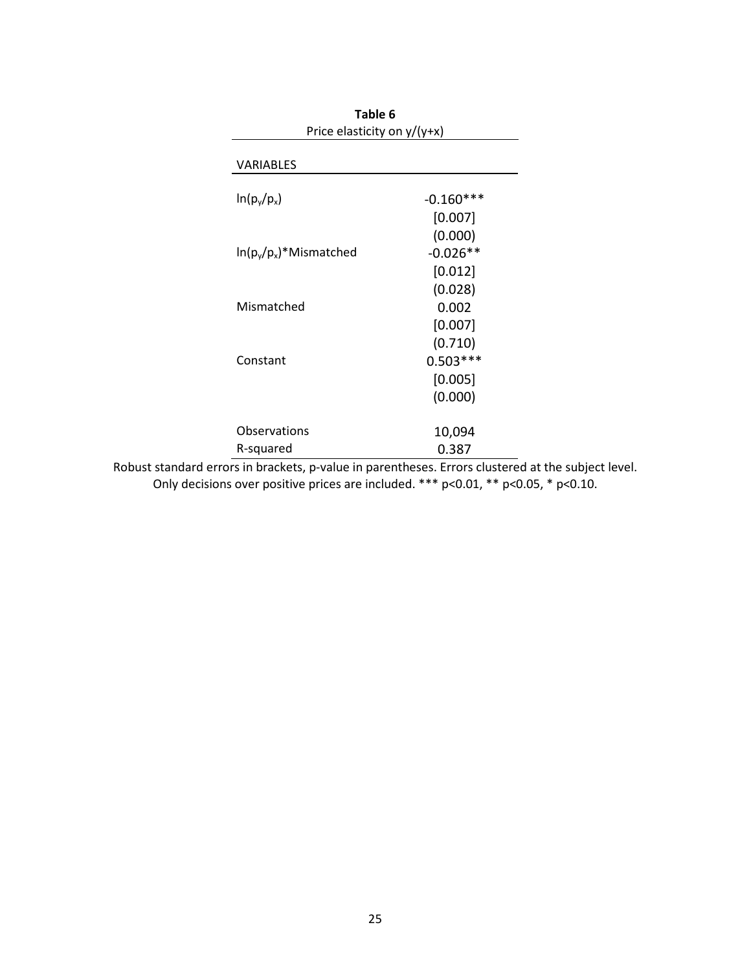| Table 6<br>Price elasticity on $y/(y+x)$ |             |  |
|------------------------------------------|-------------|--|
| <b>VARIABLES</b>                         |             |  |
| $ln(p_v/p_x)$                            | $-0.160***$ |  |
|                                          | [0.007]     |  |
|                                          | (0.000)     |  |
| $\ln(p_v/p_x)^*$ Mismatched              | $-0.026**$  |  |
|                                          | [0.012]     |  |
|                                          | (0.028)     |  |
| Mismatched                               | 0.002       |  |
|                                          | [0.007]     |  |
|                                          | (0.710)     |  |
| Constant                                 | $0.503***$  |  |
|                                          | [0.005]     |  |
|                                          | (0.000)     |  |
| Observations                             | 10,094      |  |
| R-squared                                | 0.387       |  |

Robust standard errors in brackets, p-value in parentheses. Errors clustered at the subject level. Only decisions over positive prices are included. \*\*\* p<0.01, \*\* p<0.05, \* p<0.10.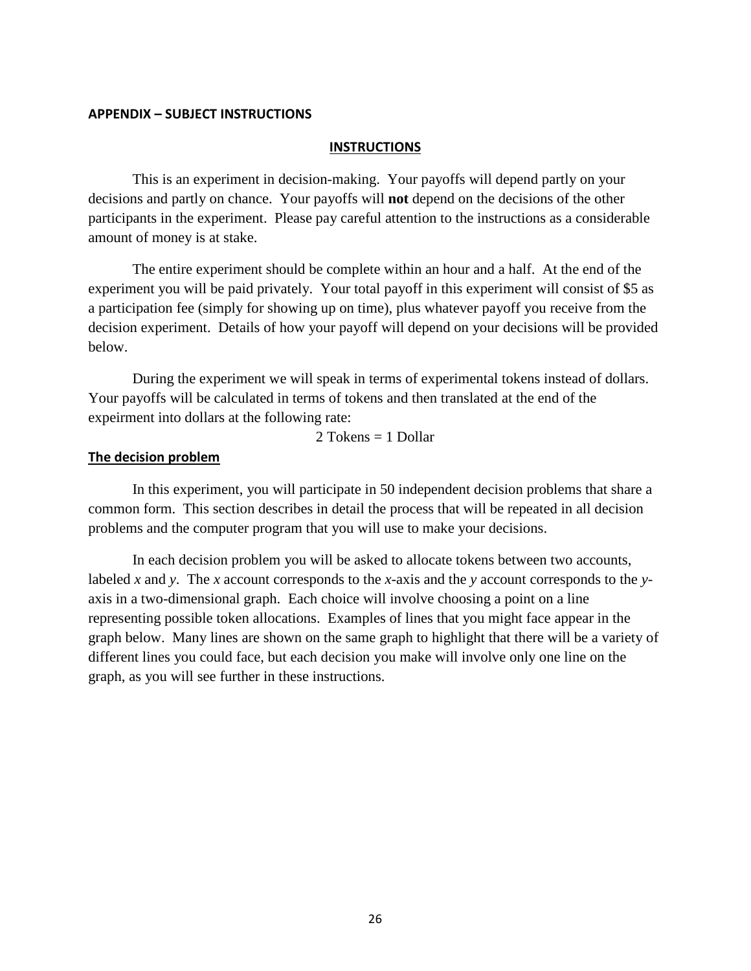### **APPENDIX – SUBJECT INSTRUCTIONS**

### **INSTRUCTIONS**

This is an experiment in decision-making. Your payoffs will depend partly on your decisions and partly on chance. Your payoffs will **not** depend on the decisions of the other participants in the experiment. Please pay careful attention to the instructions as a considerable amount of money is at stake.

The entire experiment should be complete within an hour and a half. At the end of the experiment you will be paid privately. Your total payoff in this experiment will consist of \$5 as a participation fee (simply for showing up on time), plus whatever payoff you receive from the decision experiment. Details of how your payoff will depend on your decisions will be provided below.

During the experiment we will speak in terms of experimental tokens instead of dollars. Your payoffs will be calculated in terms of tokens and then translated at the end of the expeirment into dollars at the following rate:

2 Tokens  $= 1$  Dollar

#### **The decision problem**

In this experiment, you will participate in 50 independent decision problems that share a common form. This section describes in detail the process that will be repeated in all decision problems and the computer program that you will use to make your decisions.

In each decision problem you will be asked to allocate tokens between two accounts, labeled *x* and *y*. The *x* account corresponds to the *x*-axis and the *y* account corresponds to the *y*axis in a two-dimensional graph. Each choice will involve choosing a point on a line representing possible token allocations. Examples of lines that you might face appear in the graph below. Many lines are shown on the same graph to highlight that there will be a variety of different lines you could face, but each decision you make will involve only one line on the graph, as you will see further in these instructions.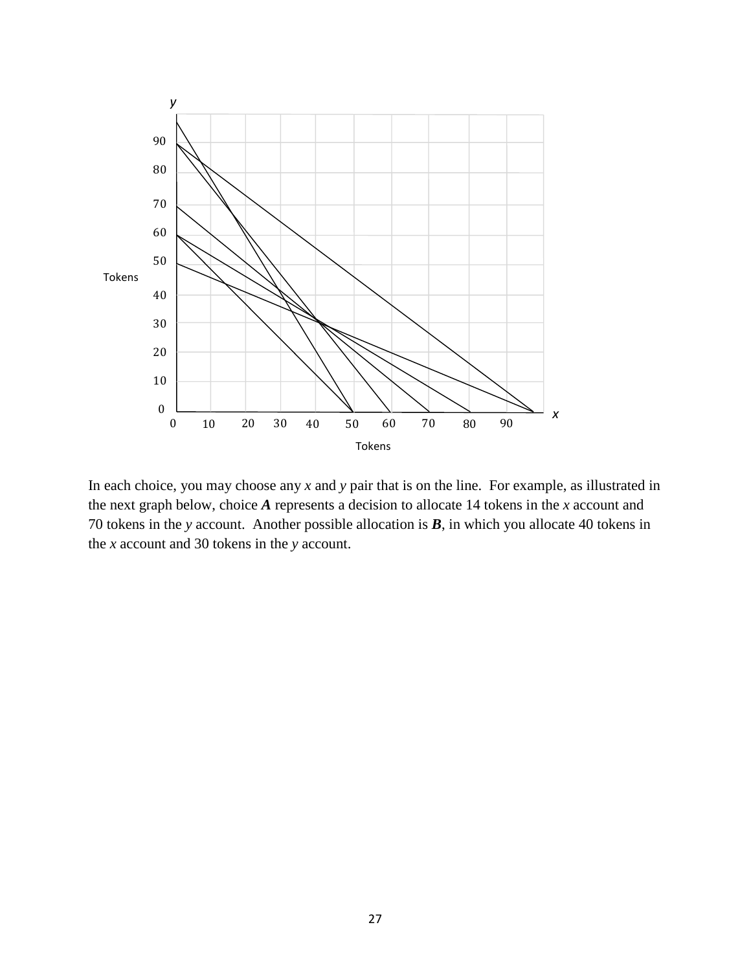

In each choice, you may choose any *x* and *y* pair that is on the line. For example, as illustrated in the next graph below, choice *A* represents a decision to allocate 14 tokens in the *x* account and tokens in the *y* account. Another possible allocation is *B*, in which you allocate 40 tokens in the *x* account and 30 tokens in the *y* account.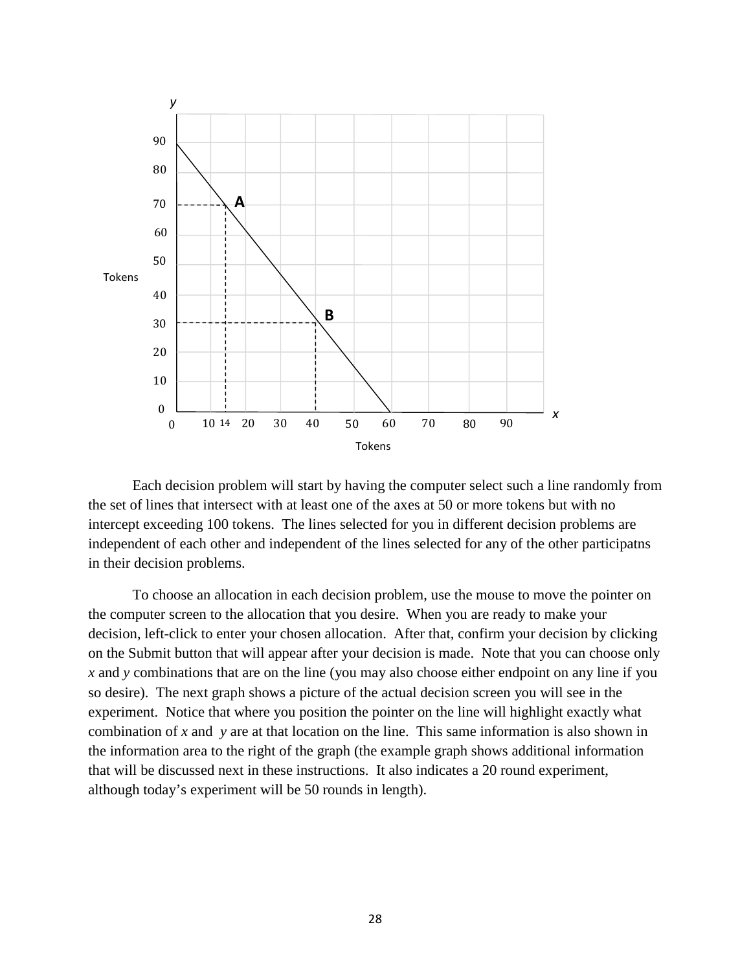

Each decision problem will start by having the computer select such a line randomly from the set of lines that intersect with at least one of the axes at 50 or more tokens but with no intercept exceeding 100 tokens. The lines selected for you in different decision problems are independent of each other and independent of the lines selected for any of the other participatns in their decision problems.

To choose an allocation in each decision problem, use the mouse to move the pointer on the computer screen to the allocation that you desire. When you are ready to make your decision, left-click to enter your chosen allocation. After that, confirm your decision by clicking on the Submit button that will appear after your decision is made. Note that you can choose only *x* and *y* combinations that are on the line (you may also choose either endpoint on any line if you so desire). The next graph shows a picture of the actual decision screen you will see in the experiment. Notice that where you position the pointer on the line will highlight exactly what combination of *x* and *y* are at that location on the line. This same information is also shown in the information area to the right of the graph (the example graph shows additional information that will be discussed next in these instructions. It also indicates a 20 round experiment, although today's experiment will be 50 rounds in length).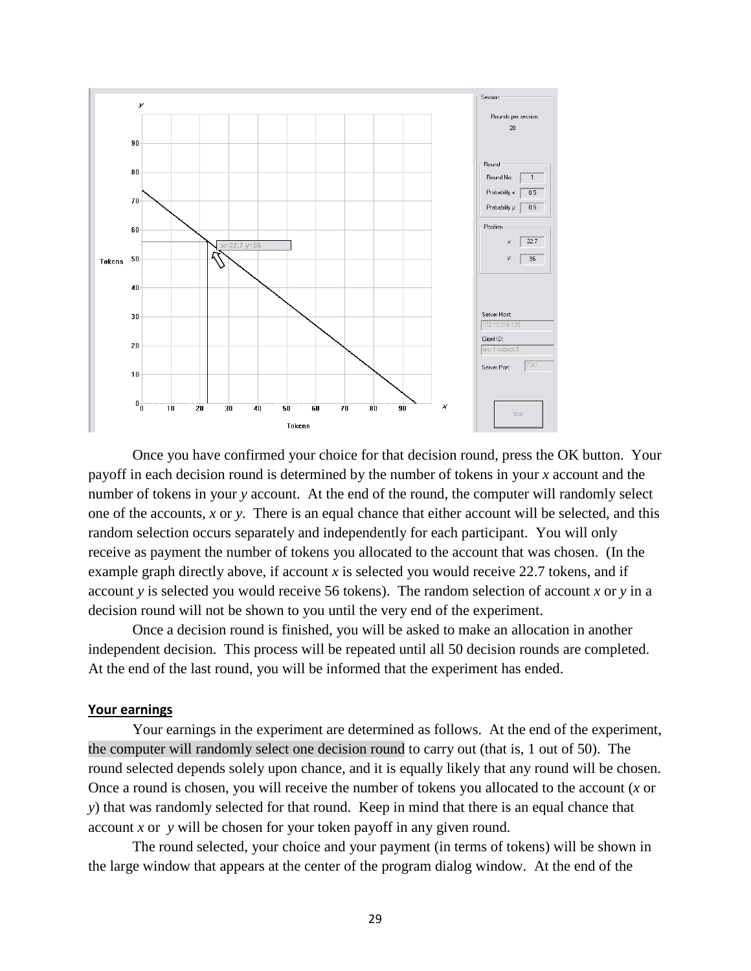

Once you have confirmed your choice for that decision round, press the OK button. Your payoff in each decision round is determined by the number of tokens in your *x* account and the number of tokens in your *y* account. At the end of the round, the computer will randomly select one of the accounts, *x* or *y*. There is an equal chance that either account will be selected, and this random selection occurs separately and independently for each participant. You will only receive as payment the number of tokens you allocated to the account that was chosen. (In the example graph directly above, if account *x* is selected you would receive 22.7 tokens, and if account *y* is selected you would receive 56 tokens). The random selection of account *x* or *y* in a decision round will not be shown to you until the very end of the experiment.

Once a decision round is finished, you will be asked to make an allocation in another independent decision. This process will be repeated until all 50 decision rounds are completed. At the end of the last round, you will be informed that the experiment has ended.

### **Your earnings**

Your earnings in the experiment are determined as follows. At the end of the experiment, the computer will randomly select one decision round to carry out (that is, 1 out of 50). The round selected depends solely upon chance, and it is equally likely that any round will be chosen. Once a round is chosen, you will receive the number of tokens you allocated to the account (*x* or *y*) that was randomly selected for that round. Keep in mind that there is an equal chance that account *x* or *y* will be chosen for your token payoff in any given round.

The round selected, your choice and your payment (in terms of tokens) will be shown in the large window that appears at the center of the program dialog window. At the end of the